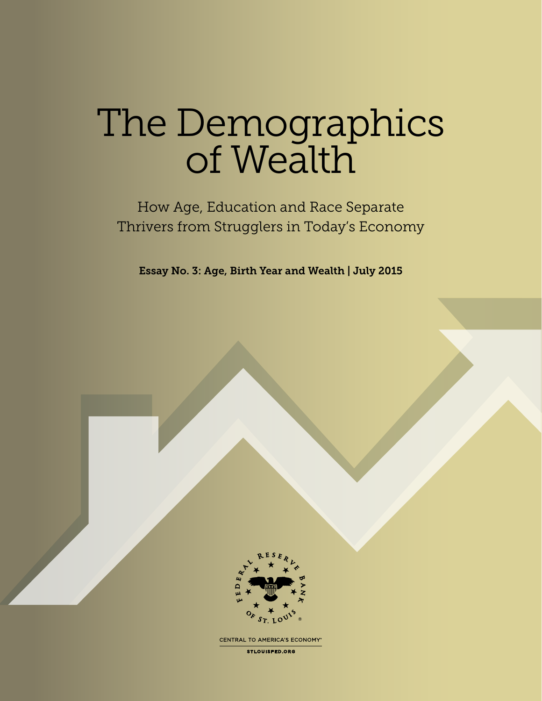# The Demographics of Wealth

How Age, Education and Race Separate Thrivers from Strugglers in Today's Economy

Essay No. 3: Age, Birth Year and Wealth | July 2015



CENTRAL TO AMERICA'S ECONOMY®

**STLOUISFED.ORG**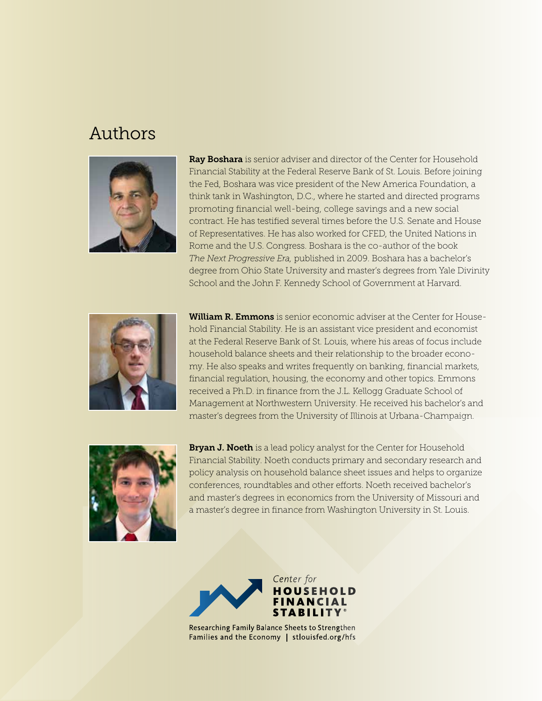### Authors



Ray Boshara is senior adviser and director of the Center for Household Financial Stability at the Federal Reserve Bank of St. Louis. Before joining the Fed, Boshara was vice president of the New America Foundation, a think tank in Washington, D.C., where he started and directed programs promoting financial well-being, college savings and a new social contract. He has testified several times before the U.S. Senate and House of Representatives. He has also worked for CFED, the United Nations in Rome and the U.S. Congress. Boshara is the co-author of the book *The Next Progressive Era,* published in 2009. Boshara has a bachelor's degree from Ohio State University and master's degrees from Yale Divinity School and the John F. Kennedy School of Government at Harvard.



William R. Emmons is senior economic adviser at the Center for Household Financial Stability. He is an assistant vice president and economist at the Federal Reserve Bank of St. Louis, where his areas of focus include household balance sheets and their relationship to the broader economy. He also speaks and writes frequently on banking, financial markets, financial regulation, housing, the economy and other topics. Emmons received a Ph.D. in finance from the J.L. Kellogg Graduate School of Management at Northwestern University. He received his bachelor's and master's degrees from the University of Illinois at Urbana-Champaign.



Bryan J. Noeth is a lead policy analyst for the Center for Household Financial Stability. Noeth conducts primary and secondary research and policy analysis on household balance sheet issues and helps to organize conferences, roundtables and other efforts. Noeth received bachelor's and master's degrees in economics from the University of Missouri and a master's degree in finance from Washington University in St. Louis.



Researching Family Balance Sheets to Strengthen Families and the Economy | stlouisfed.org/hfs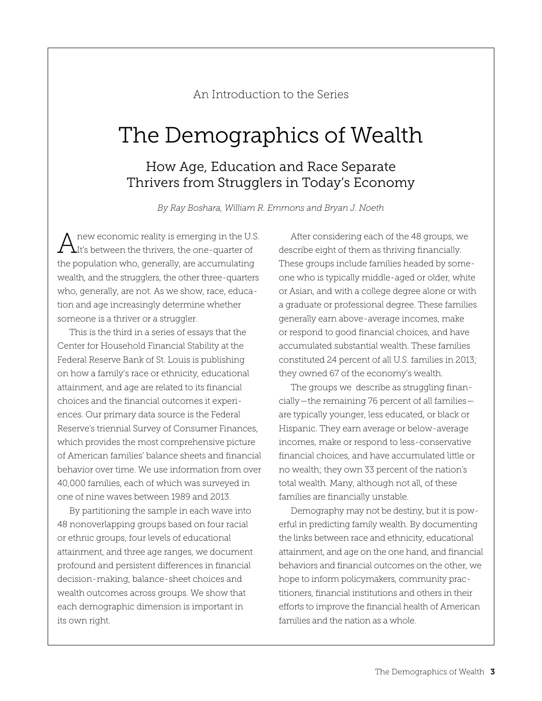An Introduction to the Series

# The Demographics of Wealth

### How Age, Education and Race Separate Thrivers from Strugglers in Today's Economy

*By Ray Boshara, William R. Emmons and Bryan J. Noeth*

new economic reality is emerging in the U.S. It's between the thrivers, the one-quarter of the population who, generally, are accumulating wealth, and the strugglers, the other three-quarters who, generally, are not. As we show, race, education and age increasingly determine whether someone is a thriver or a struggler.

This is the third in a series of essays that the Center for Household Financial Stability at the Federal Reserve Bank of St. Louis is publishing on how a family's race or ethnicity, educational attainment, and age are related to its financial choices and the financial outcomes it experiences. Our primary data source is the Federal Reserve's triennial Survey of Consumer Finances, which provides the most comprehensive picture of American families' balance sheets and financial behavior over time. We use information from over 40,000 families, each of which was surveyed in one of nine waves between 1989 and 2013.

By partitioning the sample in each wave into 48 nonoverlapping groups based on four racial or ethnic groups, four levels of educational attainment, and three age ranges, we document profound and persistent differences in financial decision-making, balance-sheet choices and wealth outcomes across groups. We show that each demographic dimension is important in its own right.

After considering each of the 48 groups, we describe eight of them as thriving financially. These groups include families headed by someone who is typically middle-aged or older, white or Asian, and with a college degree alone or with a graduate or professional degree. These families generally earn above-average incomes, make or respond to good financial choices, and have accumulated substantial wealth. These families constituted 24 percent of all U.S. families in 2013; they owned 67 of the economy's wealth.

The groups we describe as struggling financially—the remaining 76 percent of all families are typically younger, less educated, or black or Hispanic. They earn average or below-average incomes, make or respond to less-conservative financial choices, and have accumulated little or no wealth; they own 33 percent of the nation's total wealth. Many, although not all, of these families are financially unstable.

Demography may not be destiny, but it is powerful in predicting family wealth. By documenting the links between race and ethnicity, educational attainment, and age on the one hand, and financial behaviors and financial outcomes on the other, we hope to inform policymakers, community practitioners, financial institutions and others in their efforts to improve the financial health of American families and the nation as a whole.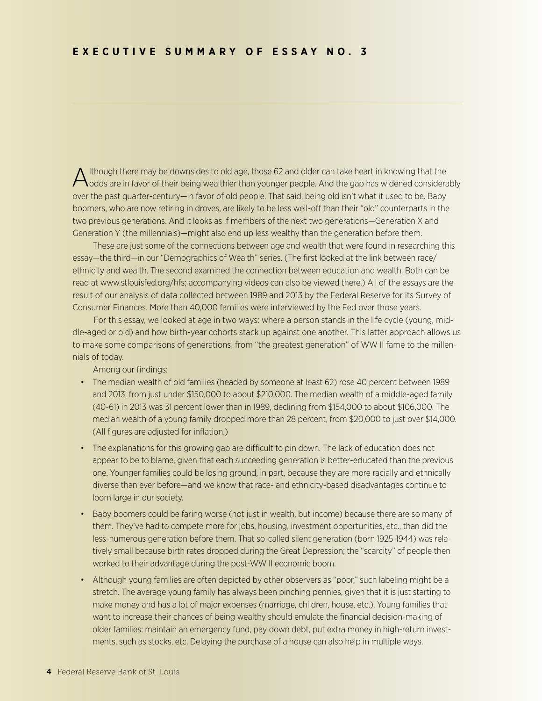Although there may be downsides to old age, those 62 and older can take heart in knowing that the  $\bigwedge$ odds are in favor of their being wealthier than younger people. And the gap has widened considerably over the past quarter-century—in favor of old people. That said, being old isn't what it used to be. Baby boomers, who are now retiring in droves, are likely to be less well-off than their "old" counterparts in the two previous generations. And it looks as if members of the next two generations—Generation X and Generation Y (the millennials)—might also end up less wealthy than the generation before them.

 These are just some of the connections between age and wealth that were found in researching this essay—the third—in our "Demographics of Wealth" series. (The first looked at the link between race/ ethnicity and wealth. The second examined the connection between education and wealth. Both can be read at www.stlouisfed.org/hfs; accompanying videos can also be viewed there.) All of the essays are the result of our analysis of data collected between 1989 and 2013 by the Federal Reserve for its Survey of Consumer Finances. More than 40,000 families were interviewed by the Fed over those years.

 For this essay, we looked at age in two ways: where a person stands in the life cycle (young, middle-aged or old) and how birth-year cohorts stack up against one another. This latter approach allows us to make some comparisons of generations, from "the greatest generation" of WW II fame to the millennials of today.

Among our findings:

- The median wealth of old families (headed by someone at least 62) rose 40 percent between 1989 and 2013, from just under \$150,000 to about \$210,000. The median wealth of a middle-aged family (40-61) in 2013 was 31 percent lower than in 1989, declining from \$154,000 to about \$106,000. The median wealth of a young family dropped more than 28 percent, from \$20,000 to just over \$14,000. (All figures are adjusted for inflation.)
- The explanations for this growing gap are difficult to pin down. The lack of education does not appear to be to blame, given that each succeeding generation is better-educated than the previous one. Younger families could be losing ground, in part, because they are more racially and ethnically diverse than ever before—and we know that race- and ethnicity-based disadvantages continue to loom large in our society.
- Baby boomers could be faring worse (not just in wealth, but income) because there are so many of them. They've had to compete more for jobs, housing, investment opportunities, etc., than did the less-numerous generation before them. That so-called silent generation (born 1925-1944) was relatively small because birth rates dropped during the Great Depression; the "scarcity" of people then worked to their advantage during the post-WW II economic boom.
- Although young families are often depicted by other observers as "poor," such labeling might be a stretch. The average young family has always been pinching pennies, given that it is just starting to make money and has a lot of major expenses (marriage, children, house, etc.). Young families that want to increase their chances of being wealthy should emulate the financial decision-making of older families: maintain an emergency fund, pay down debt, put extra money in high-return investments, such as stocks, etc. Delaying the purchase of a house can also help in multiple ways.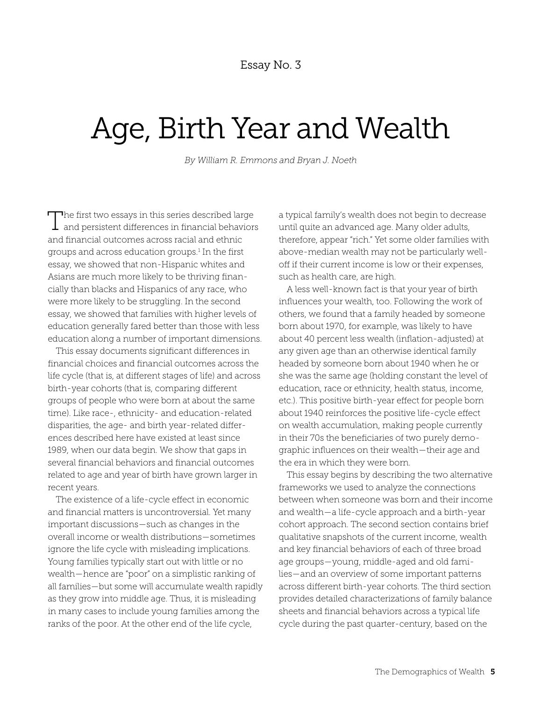# Age, Birth Year and Wealth

*By William R. Emmons and Bryan J. Noeth*

The first two essays in this series described large  $\perp$  and persistent differences in financial behaviors and financial outcomes across racial and ethnic groups and across education groups.<sup>1</sup> In the first essay, we showed that non-Hispanic whites and Asians are much more likely to be thriving financially than blacks and Hispanics of any race, who were more likely to be struggling. In the second essay, we showed that families with higher levels of education generally fared better than those with less education along a number of important dimensions.

This essay documents significant differences in financial choices and financial outcomes across the life cycle (that is, at different stages of life) and across birth-year cohorts (that is, comparing different groups of people who were born at about the same time). Like race-, ethnicity- and education-related disparities, the age- and birth year-related differences described here have existed at least since 1989, when our data begin. We show that gaps in several financial behaviors and financial outcomes related to age and year of birth have grown larger in recent years.

The existence of a life-cycle effect in economic and financial matters is uncontroversial. Yet many important discussions—such as changes in the overall income or wealth distributions—sometimes ignore the life cycle with misleading implications. Young families typically start out with little or no wealth—hence are "poor" on a simplistic ranking of all families—but some will accumulate wealth rapidly as they grow into middle age. Thus, it is misleading in many cases to include young families among the ranks of the poor. At the other end of the life cycle,

a typical family's wealth does not begin to decrease until quite an advanced age. Many older adults, therefore, appear "rich." Yet some older families with above-median wealth may not be particularly welloff if their current income is low or their expenses, such as health care, are high.

A less well-known fact is that your year of birth influences your wealth, too. Following the work of others, we found that a family headed by someone born about 1970, for example, was likely to have about 40 percent less wealth (inflation-adjusted) at any given age than an otherwise identical family headed by someone born about 1940 when he or she was the same age (holding constant the level of education, race or ethnicity, health status, income, etc.). This positive birth-year effect for people born about 1940 reinforces the positive life-cycle effect on wealth accumulation, making people currently in their 70s the beneficiaries of two purely demographic influences on their wealth—their age and the era in which they were born.

This essay begins by describing the two alternative frameworks we used to analyze the connections between when someone was born and their income and wealth—a life-cycle approach and a birth-year cohort approach. The second section contains brief qualitative snapshots of the current income, wealth and key financial behaviors of each of three broad age groups—young, middle-aged and old families—and an overview of some important patterns across different birth-year cohorts. The third section provides detailed characterizations of family balance sheets and financial behaviors across a typical life cycle during the past quarter-century, based on the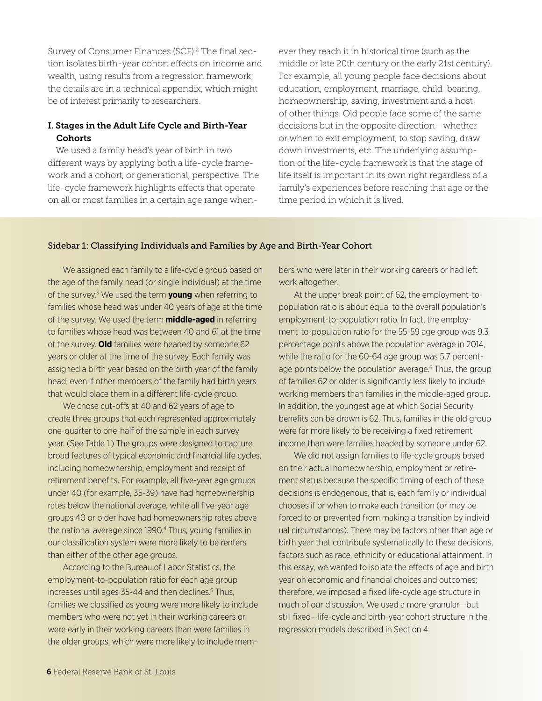Survey of Consumer Finances (SCF).<sup>2</sup> The final section isolates birth-year cohort effects on income and wealth, using results from a regression framework; the details are in a technical appendix, which might be of interest primarily to researchers.

#### I. Stages in the Adult Life Cycle and Birth-Year **Cohorts**

We used a family head's year of birth in two different ways by applying both a life-cycle framework and a cohort, or generational, perspective. The life-cycle framework highlights effects that operate on all or most families in a certain age range whenever they reach it in historical time (such as the middle or late 20th century or the early 21st century). For example, all young people face decisions about education, employment, marriage, child-bearing, homeownership, saving, investment and a host of other things. Old people face some of the same decisions but in the opposite direction—whether or when to exit employment, to stop saving, draw down investments, etc. The underlying assumption of the life-cycle framework is that the stage of life itself is important in its own right regardless of a family's experiences before reaching that age or the time period in which it is lived.

#### Sidebar 1: Classifying Individuals and Families by Age and Birth-Year Cohort

We assigned each family to a life-cycle group based on the age of the family head (or single individual) at the time of the survey.3 We used the term **young** when referring to families whose head was under 40 years of age at the time of the survey. We used the term **middle-aged** in referring to families whose head was between 40 and 61 at the time of the survey. **Old** families were headed by someone 62 years or older at the time of the survey. Each family was assigned a birth year based on the birth year of the family head, even if other members of the family had birth years that would place them in a different life-cycle group.

We chose cut-offs at 40 and 62 years of age to create three groups that each represented approximately one-quarter to one-half of the sample in each survey year. (See Table 1.) The groups were designed to capture broad features of typical economic and financial life cycles, including homeownership, employment and receipt of retirement benefits. For example, all five-year age groups under 40 (for example, 35-39) have had homeownership rates below the national average, while all five-year age groups 40 or older have had homeownership rates above the national average since 1990.4 Thus, young families in our classification system were more likely to be renters than either of the other age groups.

According to the Bureau of Labor Statistics, the employment-to-population ratio for each age group increases until ages 35-44 and then declines.<sup>5</sup> Thus, families we classified as young were more likely to include members who were not yet in their working careers or were early in their working careers than were families in the older groups, which were more likely to include members who were later in their working careers or had left work altogether.

At the upper break point of 62, the employment-topopulation ratio is about equal to the overall population's employment-to-population ratio. In fact, the employment-to-population ratio for the 55-59 age group was 9.3 percentage points above the population average in 2014, while the ratio for the 60-64 age group was 5.7 percentage points below the population average.<sup>6</sup> Thus, the group of families 62 or older is significantly less likely to include working members than families in the middle-aged group. In addition, the youngest age at which Social Security benefits can be drawn is 62. Thus, families in the old group were far more likely to be receiving a fixed retirement income than were families headed by someone under 62.

We did not assign families to life-cycle groups based on their actual homeownership, employment or retirement status because the specific timing of each of these decisions is endogenous, that is, each family or individual chooses if or when to make each transition (or may be forced to or prevented from making a transition by individual circumstances). There may be factors other than age or birth year that contribute systematically to these decisions, factors such as race, ethnicity or educational attainment. In this essay, we wanted to isolate the effects of age and birth year on economic and financial choices and outcomes; therefore, we imposed a fixed life-cycle age structure in much of our discussion. We used a more-granular—but still fixed—life-cycle and birth-year cohort structure in the regression models described in Section 4.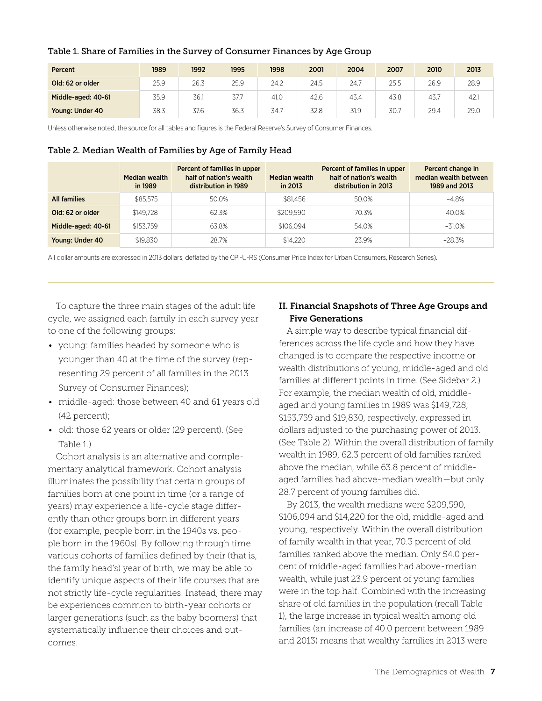| Percent            | 1989 | 1992 | 1995 | 1998 | 2001 | 2004 | 2007 | 2010 | 2013 |
|--------------------|------|------|------|------|------|------|------|------|------|
| Old: 62 or older   | 25.9 | 26.3 | 25.9 | 24.2 | 24.5 | 24.7 | 25.5 | 26.9 | 28.9 |
| Middle-aged: 40-61 | 35.9 | 36.1 | 37.7 | 41.0 | 42.6 | 43.4 | 43.8 | 43.7 | 42.1 |
| Young: Under 40    | 38.3 | 37.6 | 36.3 | 34.7 | 32.8 | 31.9 | 30.7 | 29.4 | 29.0 |

#### Table 1. Share of Families in the Survey of Consumer Finances by Age Group

Unless otherwise noted, the source for all tables and figures is the Federal Reserve's Survey of Consumer Finances.

#### Table 2. Median Wealth of Families by Age of Family Head

|                     | Median wealth<br>in 1989 | Percent of families in upper<br>half of nation's wealth<br>distribution in 1989 | Median wealth<br>in 2013 | Percent of families in upper<br>half of nation's wealth<br>distribution in 2013 | Percent change in<br>median wealth between<br>1989 and 2013 |
|---------------------|--------------------------|---------------------------------------------------------------------------------|--------------------------|---------------------------------------------------------------------------------|-------------------------------------------------------------|
| <b>All families</b> | \$85.575                 | 50.0%                                                                           | \$81.456                 | 50.0%                                                                           | -4.8%                                                       |
| Old: 62 or older    | \$149.728                | 62.3%                                                                           | \$209.590                | 70.3%                                                                           | 40.0%                                                       |
| Middle-aged: 40-61  | \$153.759                | 63.8%                                                                           | \$106.094                | 54.0%                                                                           | $-31.0\%$                                                   |
| Young: Under 40     | \$19.830                 | 28.7%                                                                           | \$14,220                 | 239%                                                                            | $-28.3%$                                                    |

All dollar amounts are expressed in 2013 dollars, deflated by the CPI-U-RS (Consumer Price Index for Urban Consumers, Research Series).

To capture the three main stages of the adult life cycle, we assigned each family in each survey year to one of the following groups:

- young: families headed by someone who is younger than 40 at the time of the survey (representing 29 percent of all families in the 2013 Survey of Consumer Finances);
- middle-aged: those between 40 and 61 years old (42 percent);
- old: those 62 years or older (29 percent). (See Table 1.)

Cohort analysis is an alternative and complementary analytical framework. Cohort analysis illuminates the possibility that certain groups of families born at one point in time (or a range of years) may experience a life-cycle stage differently than other groups born in different years (for example, people born in the 1940s vs. people born in the 1960s). By following through time various cohorts of families defined by their (that is, the family head's) year of birth, we may be able to identify unique aspects of their life courses that are not strictly life-cycle regularities. Instead, there may be experiences common to birth-year cohorts or larger generations (such as the baby boomers) that systematically influence their choices and outcomes.

#### II. Financial Snapshots of Three Age Groups and Five Generations

A simple way to describe typical financial differences across the life cycle and how they have changed is to compare the respective income or wealth distributions of young, middle-aged and old families at different points in time. (See Sidebar 2.) For example, the median wealth of old, middleaged and young families in 1989 was \$149,728, \$153,759 and \$19,830, respectively, expressed in dollars adjusted to the purchasing power of 2013. (See Table 2). Within the overall distribution of family wealth in 1989, 62.3 percent of old families ranked above the median, while 63.8 percent of middleaged families had above-median wealth—but only 28.7 percent of young families did.

By 2013, the wealth medians were \$209,590, \$106,094 and \$14,220 for the old, middle-aged and young, respectively. Within the overall distribution of family wealth in that year, 70.3 percent of old families ranked above the median. Only 54.0 percent of middle-aged families had above-median wealth, while just 23.9 percent of young families were in the top half. Combined with the increasing share of old families in the population (recall Table 1), the large increase in typical wealth among old families (an increase of 40.0 percent between 1989 and 2013) means that wealthy families in 2013 were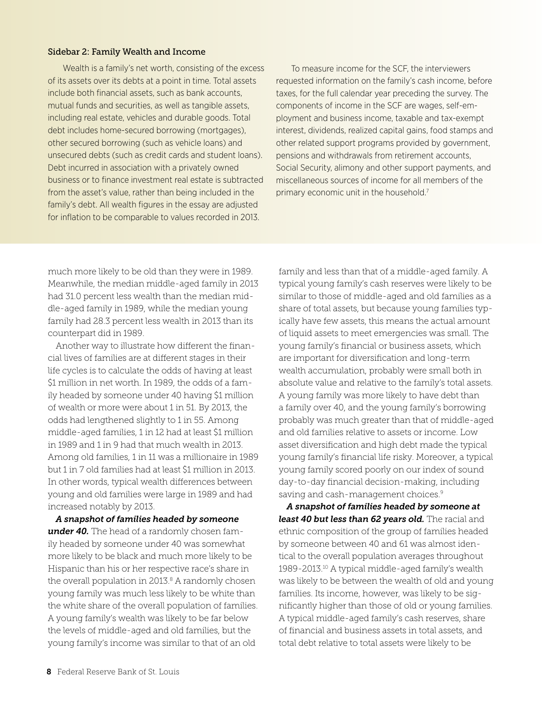#### Sidebar 2: Family Wealth and Income

Wealth is a family's net worth, consisting of the excess of its assets over its debts at a point in time. Total assets include both financial assets, such as bank accounts, mutual funds and securities, as well as tangible assets, including real estate, vehicles and durable goods. Total debt includes home-secured borrowing (mortgages), other secured borrowing (such as vehicle loans) and unsecured debts (such as credit cards and student loans). Debt incurred in association with a privately owned business or to finance investment real estate is subtracted from the asset's value, rather than being included in the family's debt. All wealth figures in the essay are adjusted for inflation to be comparable to values recorded in 2013.

To measure income for the SCF, the interviewers requested information on the family's cash income, before taxes, for the full calendar year preceding the survey. The components of income in the SCF are wages, self-employment and business income, taxable and tax-exempt interest, dividends, realized capital gains, food stamps and other related support programs provided by government, pensions and withdrawals from retirement accounts, Social Security, alimony and other support payments, and miscellaneous sources of income for all members of the primary economic unit in the household.<sup>7</sup>

much more likely to be old than they were in 1989. Meanwhile, the median middle-aged family in 2013 had 31.0 percent less wealth than the median middle-aged family in 1989, while the median young family had 28.3 percent less wealth in 2013 than its counterpart did in 1989.

Another way to illustrate how different the financial lives of families are at different stages in their life cycles is to calculate the odds of having at least \$1 million in net worth. In 1989, the odds of a family headed by someone under 40 having \$1 million of wealth or more were about 1 in 51. By 2013, the odds had lengthened slightly to 1 in 55. Among middle-aged families, 1 in 12 had at least \$1 million in 1989 and 1 in 9 had that much wealth in 2013. Among old families, 1 in 11 was a millionaire in 1989 but 1 in 7 old families had at least \$1 million in 2013. In other words, typical wealth differences between young and old families were large in 1989 and had increased notably by 2013.

*A snapshot of families headed by someone under 40.* The head of a randomly chosen family headed by someone under 40 was somewhat more likely to be black and much more likely to be Hispanic than his or her respective race's share in the overall population in  $2013.8$  A randomly chosen young family was much less likely to be white than the white share of the overall population of families. A young family's wealth was likely to be far below the levels of middle-aged and old families, but the young family's income was similar to that of an old

family and less than that of a middle-aged family. A typical young family's cash reserves were likely to be similar to those of middle-aged and old families as a share of total assets, but because young families typically have few assets, this means the actual amount of liquid assets to meet emergencies was small. The young family's financial or business assets, which are important for diversification and long-term wealth accumulation, probably were small both in absolute value and relative to the family's total assets. A young family was more likely to have debt than a family over 40, and the young family's borrowing probably was much greater than that of middle-aged and old families relative to assets or income. Low asset diversification and high debt made the typical young family's financial life risky. Moreover, a typical young family scored poorly on our index of sound day-to-day financial decision-making, including saving and cash-management choices.<sup>9</sup>

*A snapshot of families headed by someone at least 40 but less than 62 years old.* The racial and ethnic composition of the group of families headed by someone between 40 and 61 was almost identical to the overall population averages throughout 1989-2013.10 A typical middle-aged family's wealth was likely to be between the wealth of old and young families. Its income, however, was likely to be significantly higher than those of old or young families. A typical middle-aged family's cash reserves, share of financial and business assets in total assets, and total debt relative to total assets were likely to be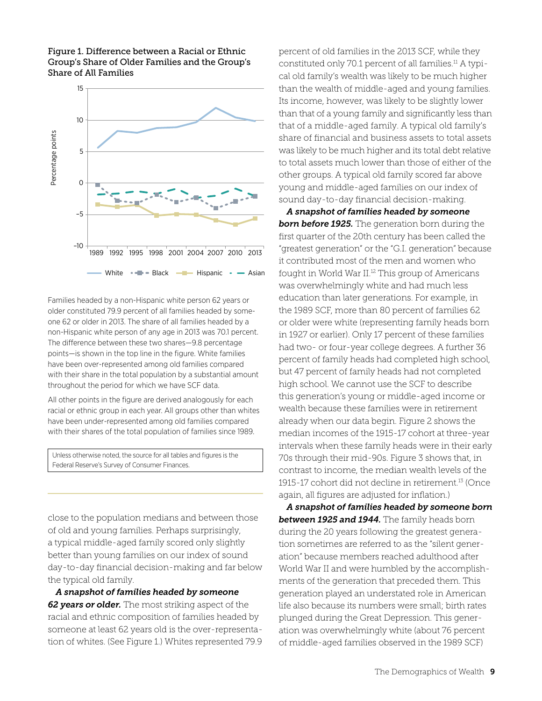

#### Figure 1. Difference between a Racial or Ethnic Group's Share of Older Families and the Group's Share of All Families

Families headed by a non-Hispanic white person 62 years or older constituted 79.9 percent of all families headed by someone 62 or older in 2013. The share of all families headed by a non-Hispanic white person of any age in 2013 was 70.1 percent. The difference between these two shares—9.8 percentage points—is shown in the top line in the figure. White families have been over-represented among old families compared with their share in the total population by a substantial amount throughout the period for which we have SCF data.

All other points in the figure are derived analogously for each racial or ethnic group in each year. All groups other than whites have been under-represented among old families compared with their shares of the total population of families since 1989.

Unless otherwise noted, the source for all tables and figures is the Federal Reserve's Survey of Consumer Finances.

close to the population medians and between those of old and young families. Perhaps surprisingly, a typical middle-aged family scored only slightly better than young families on our index of sound day-to-day financial decision-making and far below the typical old family.

*A snapshot of families headed by someone 62 years or older.* The most striking aspect of the racial and ethnic composition of families headed by someone at least 62 years old is the over-representation of whites. (See Figure 1.) Whites represented 79.9 percent of old families in the 2013 SCF, while they constituted only 70.1 percent of all families.11 A typical old family's wealth was likely to be much higher than the wealth of middle-aged and young families. Its income, however, was likely to be slightly lower than that of a young family and significantly less than that of a middle-aged family. A typical old family's share of financial and business assets to total assets was likely to be much higher and its total debt relative to total assets much lower than those of either of the other groups. A typical old family scored far above young and middle-aged families on our index of sound day-to-day financial decision-making.

*A snapshot of families headed by someone*  **born before 1925.** The generation born during the first quarter of the 20th century has been called the "greatest generation" or the "G.I. generation" because it contributed most of the men and women who fought in World War II.<sup>12</sup> This group of Americans was overwhelmingly white and had much less education than later generations. For example, in the 1989 SCF, more than 80 percent of families 62 or older were white (representing family heads born in 1927 or earlier). Only 17 percent of these families had two- or four-year college degrees. A further 36 percent of family heads had completed high school, but 47 percent of family heads had not completed high school. We cannot use the SCF to describe this generation's young or middle-aged income or wealth because these families were in retirement already when our data begin. Figure 2 shows the median incomes of the 1915-17 cohort at three-year intervals when these family heads were in their early 70s through their mid-90s. Figure 3 shows that, in contrast to income, the median wealth levels of the 1915-17 cohort did not decline in retirement.13 (Once again, all figures are adjusted for inflation.)

*A snapshot of families headed by someone born between 1925 and 1944.* The family heads born during the 20 years following the greatest generation sometimes are referred to as the "silent generation" because members reached adulthood after World War II and were humbled by the accomplishments of the generation that preceded them. This generation played an understated role in American life also because its numbers were small; birth rates plunged during the Great Depression. This generation was overwhelmingly white (about 76 percent of middle-aged families observed in the 1989 SCF)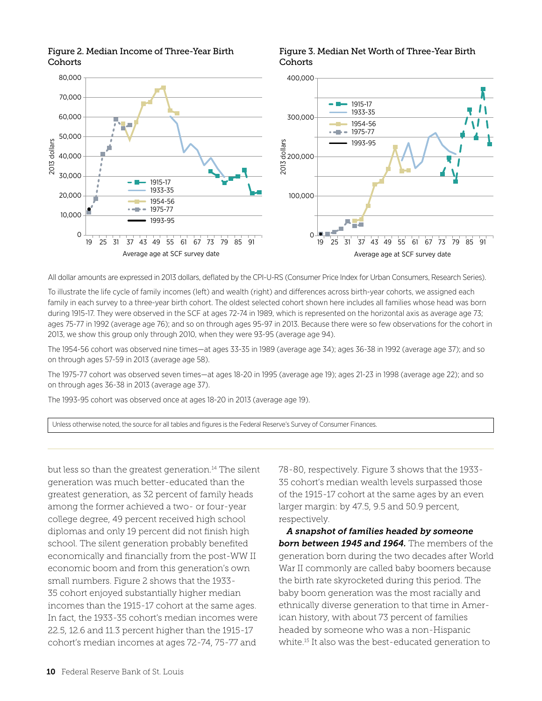Figure 2. Median Income of Three-Year Birth **Cohorts** 

Figure 3. Median Net Worth of Three-Year Birth **Cohorts** 



All dollar amounts are expressed in 2013 dollars, deflated by the CPI-U-RS (Consumer Price Index for Urban Consumers, Research Series).

To illustrate the life cycle of family incomes (left) and wealth (right) and differences across birth-year cohorts, we assigned each family in each survey to a three-year birth cohort. The oldest selected cohort shown here includes all families whose head was born during 1915-17. They were observed in the SCF at ages 72-74 in 1989, which is represented on the horizontal axis as average age 73; ages 75-77 in 1992 (average age 76); and so on through ages 95-97 in 2013. Because there were so few observations for the cohort in 2013, we show this group only through 2010, when they were 93-95 (average age 94).

The 1954-56 cohort was observed nine times—at ages 33-35 in 1989 (average age 34); ages 36-38 in 1992 (average age 37); and so on through ages 57-59 in 2013 (average age 58).

The 1975-77 cohort was observed seven times—at ages 18-20 in 1995 (average age 19); ages 21-23 in 1998 (average age 22); and so on through ages 36-38 in 2013 (average age 37).

The 1993-95 cohort was observed once at ages 18-20 in 2013 (average age 19).

Unless otherwise noted, the source for all tables and figures is the Federal Reserve's Survey of Consumer Finances.

but less so than the greatest generation.<sup>14</sup> The silent generation was much better-educated than the greatest generation, as 32 percent of family heads among the former achieved a two- or four-year college degree, 49 percent received high school diplomas and only 19 percent did not finish high school. The silent generation probably benefited economically and financially from the post-WW II economic boom and from this generation's own small numbers. Figure 2 shows that the 1933- 35 cohort enjoyed substantially higher median incomes than the 1915-17 cohort at the same ages. In fact, the 1933-35 cohort's median incomes were 22.5, 12.6 and 11.3 percent higher than the 1915-17 cohort's median incomes at ages 72-74, 75-77 and

78-80, respectively. Figure 3 shows that the 1933- 35 cohort's median wealth levels surpassed those of the 1915-17 cohort at the same ages by an even larger margin: by 47.5, 9.5 and 50.9 percent, respectively.

*A snapshot of families headed by someone born between 1945 and 1964.* The members of the generation born during the two decades after World War II commonly are called baby boomers because the birth rate skyrocketed during this period. The baby boom generation was the most racially and ethnically diverse generation to that time in American history, with about 73 percent of families headed by someone who was a non-Hispanic white.15 It also was the best-educated generation to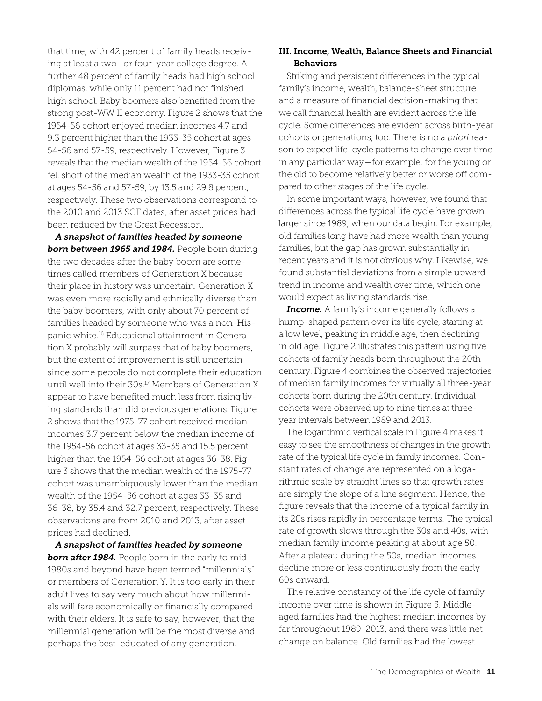that time, with 42 percent of family heads receiving at least a two- or four-year college degree. A further 48 percent of family heads had high school diplomas, while only 11 percent had not finished high school. Baby boomers also benefited from the strong post-WW II economy. Figure 2 shows that the 1954-56 cohort enjoyed median incomes 4.7 and 9.3 percent higher than the 1933-35 cohort at ages 54-56 and 57-59, respectively. However, Figure 3 reveals that the median wealth of the 1954-56 cohort fell short of the median wealth of the 1933-35 cohort at ages 54-56 and 57-59, by 13.5 and 29.8 percent, respectively. These two observations correspond to the 2010 and 2013 SCF dates, after asset prices had been reduced by the Great Recession.

*A snapshot of families headed by someone*  **born between 1965 and 1984.** People born during the two decades after the baby boom are sometimes called members of Generation X because their place in history was uncertain. Generation X was even more racially and ethnically diverse than the baby boomers, with only about 70 percent of families headed by someone who was a non-Hispanic white.16 Educational attainment in Generation X probably will surpass that of baby boomers, but the extent of improvement is still uncertain since some people do not complete their education until well into their 30s.<sup>17</sup> Members of Generation X appear to have benefited much less from rising living standards than did previous generations. Figure 2 shows that the 1975-77 cohort received median incomes 3.7 percent below the median income of the 1954-56 cohort at ages 33-35 and 15.5 percent higher than the 1954-56 cohort at ages 36-38. Figure 3 shows that the median wealth of the 1975-77 cohort was unambiguously lower than the median wealth of the 1954-56 cohort at ages 33-35 and 36-38, by 35.4 and 32.7 percent, respectively. These observations are from 2010 and 2013, after asset prices had declined.

*A snapshot of families headed by someone born after 1984.* People born in the early to mid-1980s and beyond have been termed "millennials" or members of Generation Y. It is too early in their adult lives to say very much about how millennials will fare economically or financially compared with their elders. It is safe to say, however, that the millennial generation will be the most diverse and perhaps the best-educated of any generation.

#### III. Income, Wealth, Balance Sheets and Financial **Behaviors**

Striking and persistent differences in the typical family's income, wealth, balance-sheet structure and a measure of financial decision-making that we call financial health are evident across the life cycle. Some differences are evident across birth-year cohorts or generations, too. There is no a *priori* reason to expect life-cycle patterns to change over time in any particular way—for example, for the young or the old to become relatively better or worse off compared to other stages of the life cycle.

In some important ways, however, we found that differences across the typical life cycle have grown larger since 1989, when our data begin. For example, old families long have had more wealth than young families, but the gap has grown substantially in recent years and it is not obvious why. Likewise, we found substantial deviations from a simple upward trend in income and wealth over time, which one would expect as living standards rise.

*Income.* A family's income generally follows a hump-shaped pattern over its life cycle, starting at a low level, peaking in middle age, then declining in old age. Figure 2 illustrates this pattern using five cohorts of family heads born throughout the 20th century. Figure 4 combines the observed trajectories of median family incomes for virtually all three-year cohorts born during the 20th century. Individual cohorts were observed up to nine times at threeyear intervals between 1989 and 2013.

The logarithmic vertical scale in Figure 4 makes it easy to see the smoothness of changes in the growth rate of the typical life cycle in family incomes. Constant rates of change are represented on a logarithmic scale by straight lines so that growth rates are simply the slope of a line segment. Hence, the figure reveals that the income of a typical family in its 20s rises rapidly in percentage terms. The typical rate of growth slows through the 30s and 40s, with median family income peaking at about age 50. After a plateau during the 50s, median incomes decline more or less continuously from the early 60s onward.

The relative constancy of the life cycle of family income over time is shown in Figure 5. Middleaged families had the highest median incomes by far throughout 1989-2013, and there was little net change on balance. Old families had the lowest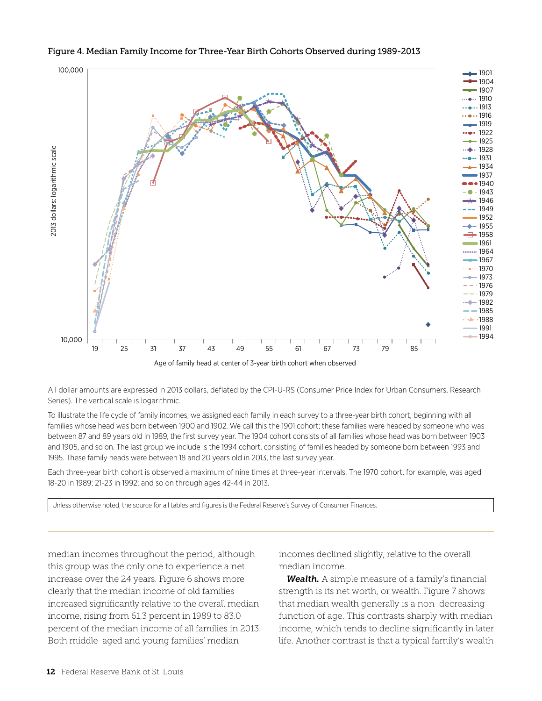

#### Figure 4. Median Family Income for Three-Year Birth Cohorts Observed during 1989-2013

All dollar amounts are expressed in 2013 dollars, deflated by the CPI-U-RS (Consumer Price Index for Urban Consumers, Research Series). The vertical scale is logarithmic.

To illustrate the life cycle of family incomes, we assigned each family in each survey to a three-year birth cohort, beginning with all families whose head was born between 1900 and 1902. We call this the 1901 cohort; these families were headed by someone who was between 87 and 89 years old in 1989, the first survey year. The 1904 cohort consists of all families whose head was born between 1903 and 1905, and so on. The last group we include is the 1994 cohort, consisting of families headed by someone born between 1993 and 1995. These family heads were between 18 and 20 years old in 2013, the last survey year.

Each three-year birth cohort is observed a maximum of nine times at three-year intervals. The 1970 cohort, for example, was aged 18-20 in 1989; 21-23 in 1992; and so on through ages 42-44 in 2013.

Unless otherwise noted, the source for all tables and figures is the Federal Reserve's Survey of Consumer Finances.

median incomes throughout the period, although this group was the only one to experience a net increase over the 24 years. Figure 6 shows more clearly that the median income of old families increased significantly relative to the overall median income, rising from 61.3 percent in 1989 to 83.0 percent of the median income of all families in 2013. Both middle-aged and young families' median

incomes declined slightly, relative to the overall median income.

*Wealth.* A simple measure of a family's financial strength is its net worth, or wealth. Figure 7 shows that median wealth generally is a non-decreasing function of age. This contrasts sharply with median income, which tends to decline significantly in later life. Another contrast is that a typical family's wealth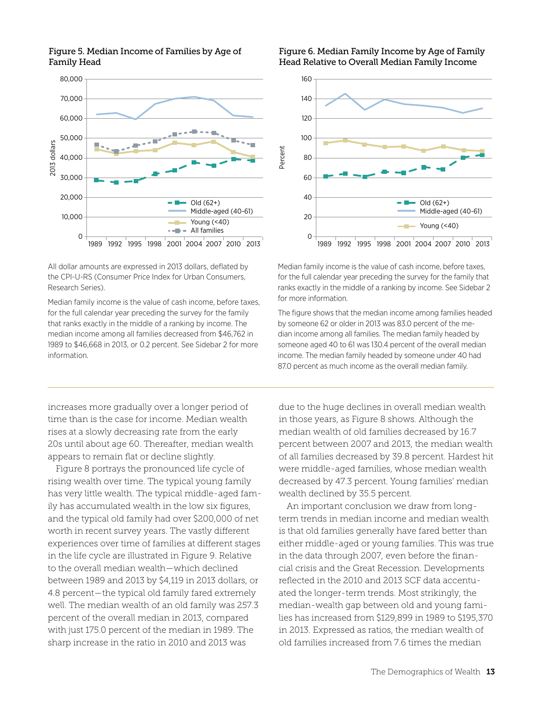

#### Figure 5. Median Income of Families by Age of Family Head

All dollar amounts are expressed in 2013 dollars, deflated by the CPI-U-RS (Consumer Price Index for Urban Consumers, Research Series).

Median family income is the value of cash income, before taxes, for the full calendar year preceding the survey for the family that ranks exactly in the middle of a ranking by income. The median income among all families decreased from \$46,762 in 1989 to \$46,668 in 2013, or 0.2 percent. See Sidebar 2 for more information.

increases more gradually over a longer period of time than is the case for income. Median wealth rises at a slowly decreasing rate from the early 20s until about age 60. Thereafter, median wealth appears to remain flat or decline slightly.

Figure 8 portrays the pronounced life cycle of rising wealth over time. The typical young family has very little wealth. The typical middle-aged family has accumulated wealth in the low six figures, and the typical old family had over \$200,000 of net worth in recent survey years. The vastly different experiences over time of families at different stages in the life cycle are illustrated in Figure 9. Relative to the overall median wealth—which declined between 1989 and 2013 by \$4,119 in 2013 dollars, or 4.8 percent—the typical old family fared extremely well. The median wealth of an old family was 257.3 percent of the overall median in 2013, compared with just 175.0 percent of the median in 1989. The sharp increase in the ratio in 2010 and 2013 was

#### Figure 6. Median Family Income by Age of Family Head Relative to Overall Median Family Income



Median family income is the value of cash income, before taxes, for the full calendar year preceding the survey for the family that ranks exactly in the middle of a ranking by income. See Sidebar 2 for more information.

The figure shows that the median income among families headed by someone 62 or older in 2013 was 83.0 percent of the median income among all families. The median family headed by someone aged 40 to 61 was 130.4 percent of the overall median income. The median family headed by someone under 40 had 87.0 percent as much income as the overall median family.

due to the huge declines in overall median wealth in those years, as Figure 8 shows. Although the median wealth of old families decreased by 16.7 percent between 2007 and 2013, the median wealth of all families decreased by 39.8 percent. Hardest hit were middle-aged families, whose median wealth decreased by 47.3 percent. Young families' median wealth declined by 35.5 percent.

An important conclusion we draw from longterm trends in median income and median wealth is that old families generally have fared better than either middle-aged or young families. This was true in the data through 2007, even before the financial crisis and the Great Recession. Developments reflected in the 2010 and 2013 SCF data accentuated the longer-term trends. Most strikingly, the median-wealth gap between old and young families has increased from \$129,899 in 1989 to \$195,370 in 2013. Expressed as ratios, the median wealth of old families increased from 7.6 times the median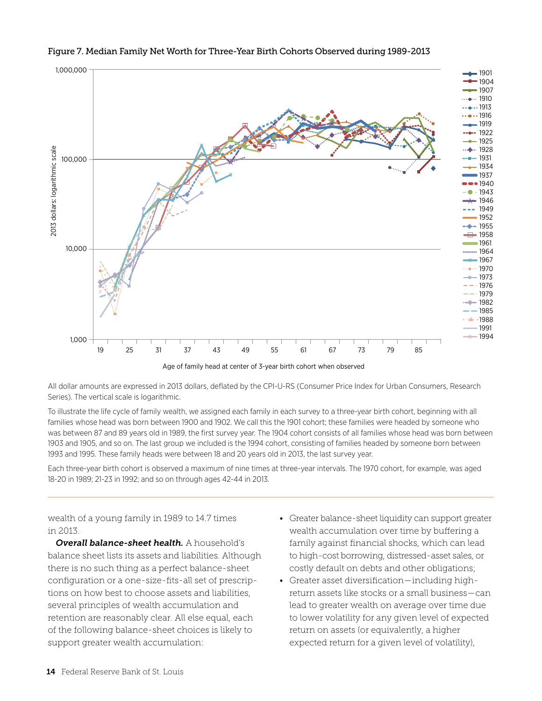

#### Figure 7. Median Family Net Worth for Three-Year Birth Cohorts Observed during 1989-2013

Age of family head at center of 3-year birth cohort when observed

All dollar amounts are expressed in 2013 dollars, deflated by the CPI-U-RS (Consumer Price Index for Urban Consumers, Research Series). The vertical scale is logarithmic.

To illustrate the life cycle of family wealth, we assigned each family in each survey to a three-year birth cohort, beginning with all families whose head was born between 1900 and 1902. We call this the 1901 cohort; these families were headed by someone who was between 87 and 89 years old in 1989, the first survey year. The 1904 cohort consists of all families whose head was born between 1903 and 1905, and so on. The last group we included is the 1994 cohort, consisting of families headed by someone born between 1993 and 1995. These family heads were between 18 and 20 years old in 2013, the last survey year.

Each three-year birth cohort is observed a maximum of nine times at three-year intervals. The 1970 cohort, for example, was aged 18-20 in 1989; 21-23 in 1992; and so on through ages 42-44 in 2013.

wealth of a young family in 1989 to 14.7 times in 2013.

*Overall balance-sheet health.* A household's balance sheet lists its assets and liabilities. Although there is no such thing as a perfect balance-sheet configuration or a one-size-fits-all set of prescriptions on how best to choose assets and liabilities, several principles of wealth accumulation and retention are reasonably clear. All else equal, each of the following balance-sheet choices is likely to support greater wealth accumulation:

- Greater balance-sheet liquidity can support greater wealth accumulation over time by buffering a family against financial shocks, which can lead to high-cost borrowing, distressed-asset sales, or costly default on debts and other obligations;
- Greater asset diversification—including highreturn assets like stocks or a small business—can lead to greater wealth on average over time due to lower volatility for any given level of expected return on assets (or equivalently, a higher expected return for a given level of volatility),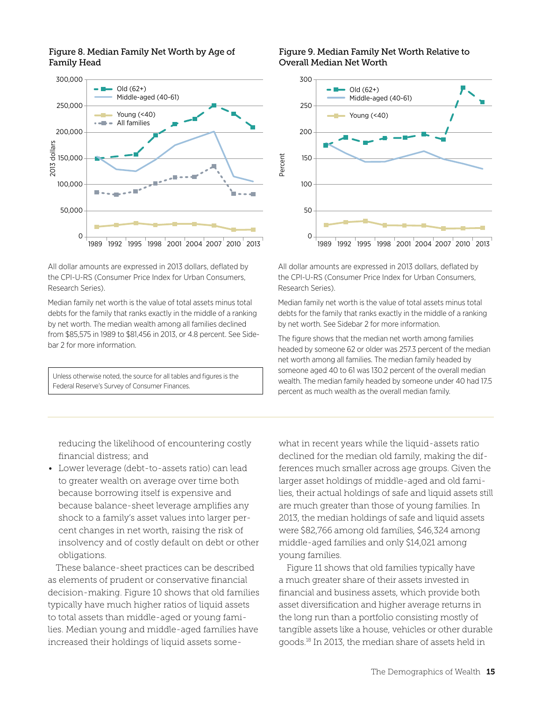

#### Figure 8. Median Family Net Worth by Age of Family Head

All dollar amounts are expressed in 2013 dollars, deflated by the CPI-U-RS (Consumer Price Index for Urban Consumers, Research Series).

Median family net worth is the value of total assets minus total debts for the family that ranks exactly in the middle of a ranking by net worth. The median wealth among all families declined from \$85,575 in 1989 to \$81,456 in 2013, or 4.8 percent. See Sidebar 2 for more information.

Unless otherwise noted, the source for all tables and figures is the Federal Reserve's Survey of Consumer Finances.

#### Figure 9. Median Family Net Worth Relative to Overall Median Net Worth



All dollar amounts are expressed in 2013 dollars, deflated by the CPI-U-RS (Consumer Price Index for Urban Consumers, Research Series).

Median family net worth is the value of total assets minus total debts for the family that ranks exactly in the middle of a ranking by net worth. See Sidebar 2 for more information.

The figure shows that the median net worth among families headed by someone 62 or older was 257.3 percent of the median net worth among all families. The median family headed by someone aged 40 to 61 was 130.2 percent of the overall median wealth. The median family headed by someone under 40 had 17.5 percent as much wealth as the overall median family.

reducing the likelihood of encountering costly financial distress; and

• Lower leverage (debt-to-assets ratio) can lead to greater wealth on average over time both because borrowing itself is expensive and because balance-sheet leverage amplifies any shock to a family's asset values into larger percent changes in net worth, raising the risk of insolvency and of costly default on debt or other obligations.

These balance-sheet practices can be described as elements of prudent or conservative financial decision-making. Figure 10 shows that old families typically have much higher ratios of liquid assets to total assets than middle-aged or young families. Median young and middle-aged families have increased their holdings of liquid assets somewhat in recent years while the liquid-assets ratio declined for the median old family, making the differences much smaller across age groups. Given the larger asset holdings of middle-aged and old families, their actual holdings of safe and liquid assets still are much greater than those of young families. In 2013, the median holdings of safe and liquid assets were \$82,766 among old families, \$46,324 among middle-aged families and only \$14,021 among young families.

Figure 11 shows that old families typically have a much greater share of their assets invested in financial and business assets, which provide both asset diversification and higher average returns in the long run than a portfolio consisting mostly of tangible assets like a house, vehicles or other durable goods.18 In 2013, the median share of assets held in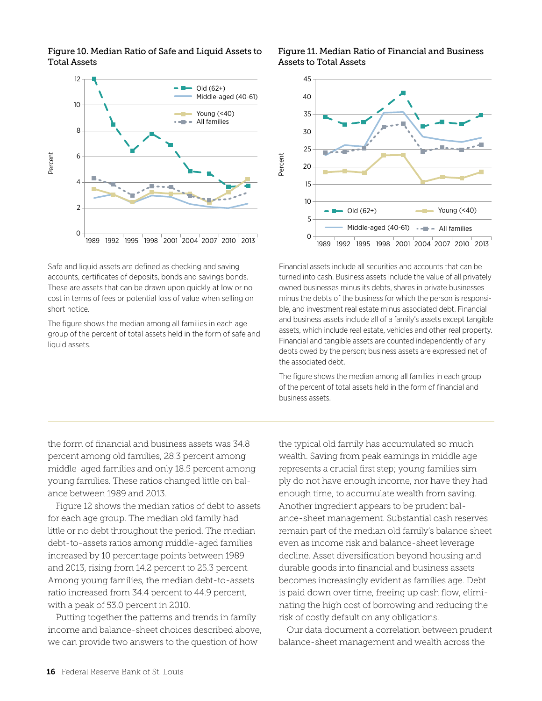



Safe and liquid assets are defined as checking and saving accounts, certificates of deposits, bonds and savings bonds. These are assets that can be drawn upon quickly at low or no cost in terms of fees or potential loss of value when selling on short notice.

The figure shows the median among all families in each age group of the percent of total assets held in the form of safe and liquid assets.

#### Figure 11. Median Ratio of Financial and Business Assets to Total Assets



Financial assets include all securities and accounts that can be turned into cash. Business assets include the value of all privately owned businesses minus its debts, shares in private businesses minus the debts of the business for which the person is responsible, and investment real estate minus associated debt. Financial and business assets include all of a family's assets except tangible assets, which include real estate, vehicles and other real property. Financial and tangible assets are counted independently of any debts owed by the person; business assets are expressed net of the associated debt.

The figure shows the median among all families in each group of the percent of total assets held in the form of financial and business assets.

the form of financial and business assets was 34.8 percent among old families, 28.3 percent among middle-aged families and only 18.5 percent among young families. These ratios changed little on balance between 1989 and 2013.

Figure 12 shows the median ratios of debt to assets for each age group. The median old family had little or no debt throughout the period. The median debt-to-assets ratios among middle-aged families increased by 10 percentage points between 1989 and 2013, rising from 14.2 percent to 25.3 percent. Among young families, the median debt-to-assets ratio increased from 34.4 percent to 44.9 percent, with a peak of 53.0 percent in 2010.

Putting together the patterns and trends in family income and balance-sheet choices described above, we can provide two answers to the question of how

the typical old family has accumulated so much wealth. Saving from peak earnings in middle age represents a crucial first step; young families simply do not have enough income, nor have they had enough time, to accumulate wealth from saving. Another ingredient appears to be prudent balance-sheet management. Substantial cash reserves remain part of the median old family's balance sheet even as income risk and balance-sheet leverage decline. Asset diversification beyond housing and durable goods into financial and business assets becomes increasingly evident as families age. Debt is paid down over time, freeing up cash flow, eliminating the high cost of borrowing and reducing the risk of costly default on any obligations.

Our data document a correlation between prudent balance-sheet management and wealth across the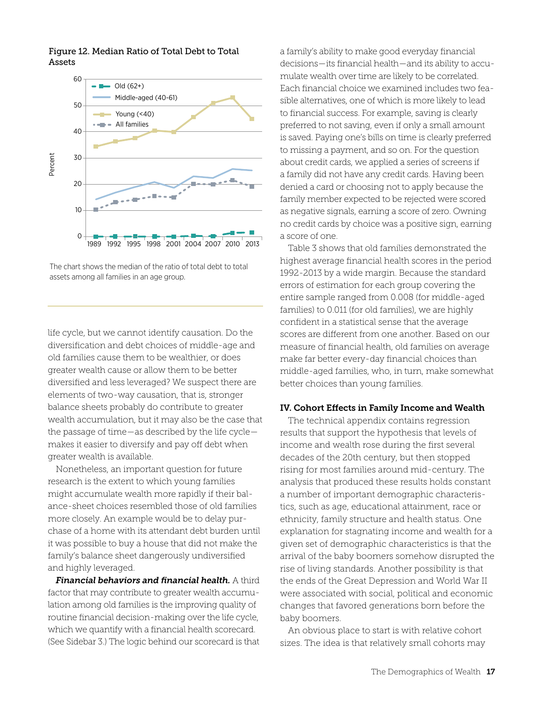

Figure 12. Median Ratio of Total Debt to Total Assets

The chart shows the median of the ratio of total debt to total assets among all families in an age group.

life cycle, but we cannot identify causation. Do the diversification and debt choices of middle-age and old families cause them to be wealthier, or does greater wealth cause or allow them to be better diversified and less leveraged? We suspect there are elements of two-way causation, that is, stronger balance sheets probably do contribute to greater wealth accumulation, but it may also be the case that the passage of time—as described by the life cycle makes it easier to diversify and pay off debt when greater wealth is available.

Nonetheless, an important question for future research is the extent to which young families might accumulate wealth more rapidly if their balance-sheet choices resembled those of old families more closely. An example would be to delay purchase of a home with its attendant debt burden until it was possible to buy a house that did not make the family's balance sheet dangerously undiversified and highly leveraged.

*Financial behaviors and financial health.* A third factor that may contribute to greater wealth accumulation among old families is the improving quality of routine financial decision-making over the life cycle, which we quantify with a financial health scorecard. (See Sidebar 3.) The logic behind our scorecard is that a family's ability to make good everyday financial decisions—its financial health—and its ability to accumulate wealth over time are likely to be correlated. Each financial choice we examined includes two feasible alternatives, one of which is more likely to lead to financial success. For example, saving is clearly preferred to not saving, even if only a small amount is saved. Paying one's bills on time is clearly preferred to missing a payment, and so on. For the question about credit cards, we applied a series of screens if a family did not have any credit cards. Having been denied a card or choosing not to apply because the family member expected to be rejected were scored as negative signals, earning a score of zero. Owning no credit cards by choice was a positive sign, earning a score of one.

Table 3 shows that old families demonstrated the highest average financial health scores in the period 1992-2013 by a wide margin. Because the standard errors of estimation for each group covering the entire sample ranged from 0.008 (for middle-aged families) to 0.011 (for old families), we are highly confident in a statistical sense that the average scores are different from one another. Based on our measure of financial health, old families on average make far better every-day financial choices than middle-aged families, who, in turn, make somewhat better choices than young families.

#### IV. Cohort Effects in Family Income and Wealth

The technical appendix contains regression results that support the hypothesis that levels of income and wealth rose during the first several decades of the 20th century, but then stopped rising for most families around mid-century. The analysis that produced these results holds constant a number of important demographic characteristics, such as age, educational attainment, race or ethnicity, family structure and health status. One explanation for stagnating income and wealth for a given set of demographic characteristics is that the arrival of the baby boomers somehow disrupted the rise of living standards. Another possibility is that the ends of the Great Depression and World War II were associated with social, political and economic changes that favored generations born before the baby boomers.

An obvious place to start is with relative cohort sizes. The idea is that relatively small cohorts may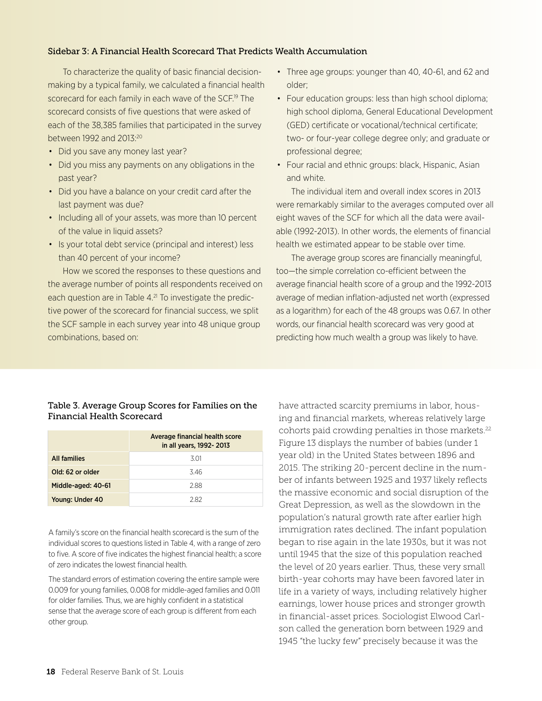#### Sidebar 3: A Financial Health Scorecard That Predicts Wealth Accumulation

To characterize the quality of basic financial decisionmaking by a typical family, we calculated a financial health scorecard for each family in each wave of the SCF.<sup>19</sup> The scorecard consists of five questions that were asked of each of the 38,385 families that participated in the survey between 1992 and 2013:20

- Did you save any money last year?
- Did you miss any payments on any obligations in the past year?
- Did you have a balance on your credit card after the last payment was due?
- Including all of your assets, was more than 10 percent of the value in liquid assets?
- Is your total debt service (principal and interest) less than 40 percent of your income?

How we scored the responses to these questions and the average number of points all respondents received on each question are in Table 4.<sup>21</sup> To investigate the predictive power of the scorecard for financial success, we split the SCF sample in each survey year into 48 unique group combinations, based on:

- Three age groups: younger than 40, 40-61, and 62 and older;
- Four education groups: less than high school diploma; high school diploma, General Educational Development (GED) certificate or vocational/technical certificate; two- or four-year college degree only; and graduate or professional degree;
- Four racial and ethnic groups: black, Hispanic, Asian and white.

The individual item and overall index scores in 2013 were remarkably similar to the averages computed over all eight waves of the SCF for which all the data were available (1992-2013). In other words, the elements of financial health we estimated appear to be stable over time.

The average group scores are financially meaningful, too—the simple correlation co-efficient between the average financial health score of a group and the 1992-2013 average of median inflation-adjusted net worth (expressed as a logarithm) for each of the 48 groups was 0.67. In other words, our financial health scorecard was very good at predicting how much wealth a group was likely to have.

#### Table 3. Average Group Scores for Families on the Financial Health Scorecard

|                     | Average financial health score<br>in all years, 1992-2013 |  |  |  |
|---------------------|-----------------------------------------------------------|--|--|--|
| <b>All families</b> | .3 O1                                                     |  |  |  |
| Old: 62 or older    | 346                                                       |  |  |  |
| Middle-aged: 40-61  | 288                                                       |  |  |  |
| Young: Under 40     | 282                                                       |  |  |  |

A family's score on the financial health scorecard is the sum of the individual scores to questions listed in Table 4, with a range of zero to five. A score of five indicates the highest financial health; a score of zero indicates the lowest financial health.

The standard errors of estimation covering the entire sample were 0.009 for young families, 0.008 for middle-aged families and 0.011 for older families. Thus, we are highly confident in a statistical sense that the average score of each group is different from each other group.

have attracted scarcity premiums in labor, housing and financial markets, whereas relatively large cohorts paid crowding penalties in those markets.<sup>22</sup> Figure 13 displays the number of babies (under 1 year old) in the United States between 1896 and 2015. The striking 20-percent decline in the number of infants between 1925 and 1937 likely reflects the massive economic and social disruption of the Great Depression, as well as the slowdown in the population's natural growth rate after earlier high immigration rates declined. The infant population began to rise again in the late 1930s, but it was not until 1945 that the size of this population reached the level of 20 years earlier. Thus, these very small birth-year cohorts may have been favored later in life in a variety of ways, including relatively higher earnings, lower house prices and stronger growth in financial-asset prices. Sociologist Elwood Carlson called the generation born between 1929 and 1945 "the lucky few" precisely because it was the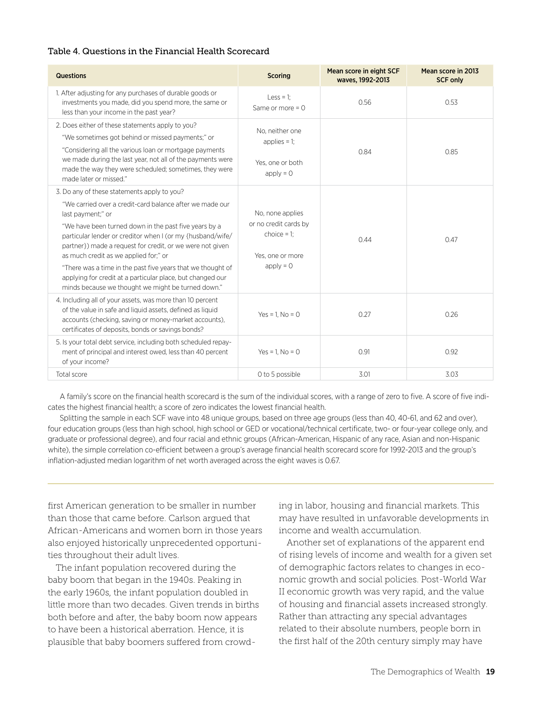#### Table 4. Questions in the Financial Health Scorecard

| Questions                                                                                                                                                                                                                                                                                                                                                                                                                                                                                                                                    | <b>Scoring</b>                                                                                 | Mean score in eight SCF<br>waves, 1992-2013 | Mean score in 2013<br><b>SCF only</b> |  |
|----------------------------------------------------------------------------------------------------------------------------------------------------------------------------------------------------------------------------------------------------------------------------------------------------------------------------------------------------------------------------------------------------------------------------------------------------------------------------------------------------------------------------------------------|------------------------------------------------------------------------------------------------|---------------------------------------------|---------------------------------------|--|
| 1. After adjusting for any purchases of durable goods or<br>investments you made, did you spend more, the same or<br>less than your income in the past year?                                                                                                                                                                                                                                                                                                                                                                                 | Less = 1;<br>Same or more $= 0$                                                                | 0.56                                        | 0.53                                  |  |
| 2. Does either of these statements apply to you?<br>"We sometimes got behind or missed payments;" or<br>"Considering all the various loan or mortgage payments<br>we made during the last year, not all of the payments were<br>made the way they were scheduled; sometimes, they were<br>made later or missed."                                                                                                                                                                                                                             | No. neither one<br>applies $= 1$ ;<br>Yes, one or both<br>$apply = 0$                          | 0.84                                        | 0.85                                  |  |
| 3. Do any of these statements apply to you?<br>"We carried over a credit-card balance after we made our<br>last payment;" or<br>"We have been turned down in the past five years by a<br>particular lender or creditor when I (or my {husband/wife/<br>partner}) made a request for credit, or we were not given<br>as much credit as we applied for;" or<br>"There was a time in the past five years that we thought of<br>applying for credit at a particular place, but changed our<br>minds because we thought we might be turned down." | No, none applies<br>or no credit cards by<br>choice $= 1$ ;<br>Yes, one or more<br>$apply = 0$ | 0.44                                        | 0.47                                  |  |
| 4. Including all of your assets, was more than 10 percent<br>of the value in safe and liquid assets, defined as liquid<br>accounts (checking, saving or money-market accounts),<br>certificates of deposits, bonds or savings bonds?                                                                                                                                                                                                                                                                                                         | $Yes = 1. No = 0$                                                                              | 0.27                                        | 0.26                                  |  |
| 5. Is your total debt service, including both scheduled repay-<br>ment of principal and interest owed, less than 40 percent<br>of your income?                                                                                                                                                                                                                                                                                                                                                                                               | $Yes = 1. No = 0$                                                                              | 0.91                                        | 0.92                                  |  |
| Total score                                                                                                                                                                                                                                                                                                                                                                                                                                                                                                                                  | 0 to 5 possible                                                                                | 3.01                                        | 3.03                                  |  |

A family's score on the financial health scorecard is the sum of the individual scores, with a range of zero to five. A score of five indicates the highest financial health; a score of zero indicates the lowest financial health.

Splitting the sample in each SCF wave into 48 unique groups, based on three age groups (less than 40, 40-61, and 62 and over), four education groups (less than high school, high school or GED or vocational/technical certificate, two- or four-year college only, and graduate or professional degree), and four racial and ethnic groups (African-American, Hispanic of any race, Asian and non-Hispanic white), the simple correlation co-efficient between a group's average financial health scorecard score for 1992-2013 and the group's inflation-adjusted median logarithm of net worth averaged across the eight waves is 0.67.

first American generation to be smaller in number than those that came before. Carlson argued that African-Americans and women born in those years also enjoyed historically unprecedented opportunities throughout their adult lives.

The infant population recovered during the baby boom that began in the 1940s. Peaking in the early 1960s, the infant population doubled in little more than two decades. Given trends in births both before and after, the baby boom now appears to have been a historical aberration. Hence, it is plausible that baby boomers suffered from crowding in labor, housing and financial markets. This may have resulted in unfavorable developments in income and wealth accumulation.

Another set of explanations of the apparent end of rising levels of income and wealth for a given set of demographic factors relates to changes in economic growth and social policies. Post-World War II economic growth was very rapid, and the value of housing and financial assets increased strongly. Rather than attracting any special advantages related to their absolute numbers, people born in the first half of the 20th century simply may have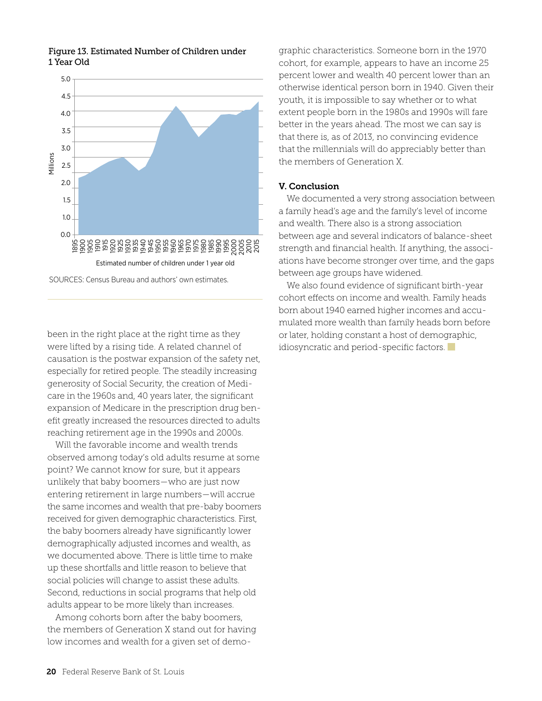

#### Figure 13. Estimated Number of Children under 1 Year Old

SOURCES: Census Bureau and authors' own estimates.

been in the right place at the right time as they were lifted by a rising tide. A related channel of causation is the postwar expansion of the safety net, especially for retired people. The steadily increasing generosity of Social Security, the creation of Medicare in the 1960s and, 40 years later, the significant expansion of Medicare in the prescription drug benefit greatly increased the resources directed to adults reaching retirement age in the 1990s and 2000s.

Will the favorable income and wealth trends observed among today's old adults resume at some point? We cannot know for sure, but it appears unlikely that baby boomers—who are just now entering retirement in large numbers—will accrue the same incomes and wealth that pre-baby boomers received for given demographic characteristics. First, the baby boomers already have significantly lower demographically adjusted incomes and wealth, as we documented above. There is little time to make up these shortfalls and little reason to believe that social policies will change to assist these adults. Second, reductions in social programs that help old adults appear to be more likely than increases.

Among cohorts born after the baby boomers, the members of Generation X stand out for having low incomes and wealth for a given set of demo-

graphic characteristics. Someone born in the 1970 cohort, for example, appears to have an income 25 percent lower and wealth 40 percent lower than an otherwise identical person born in 1940. Given their youth, it is impossible to say whether or to what extent people born in the 1980s and 1990s will fare better in the years ahead. The most we can say is that there is, as of 2013, no convincing evidence that the millennials will do appreciably better than the members of Generation X.

#### V. Conclusion

We documented a very strong association between a family head's age and the family's level of income and wealth. There also is a strong association between age and several indicators of balance-sheet strength and financial health. If anything, the associations have become stronger over time, and the gaps between age groups have widened.

We also found evidence of significant birth-year cohort effects on income and wealth. Family heads born about 1940 earned higher incomes and accumulated more wealth than family heads born before or later, holding constant a host of demographic, idiosyncratic and period-specific factors.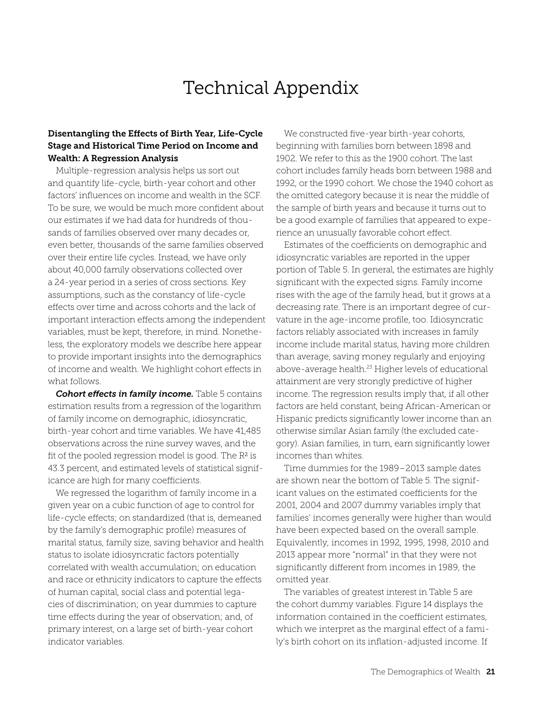## Technical Appendix

#### Disentangling the Effects of Birth Year, Life-Cycle Stage and Historical Time Period on Income and Wealth: A Regression Analysis

Multiple-regression analysis helps us sort out and quantify life-cycle, birth-year cohort and other factors' influences on income and wealth in the SCF. To be sure, we would be much more confident about our estimates if we had data for hundreds of thousands of families observed over many decades or, even better, thousands of the same families observed over their entire life cycles. Instead, we have only about 40,000 family observations collected over a 24-year period in a series of cross sections. Key assumptions, such as the constancy of life-cycle effects over time and across cohorts and the lack of important interaction effects among the independent variables, must be kept, therefore, in mind. Nonetheless, the exploratory models we describe here appear to provide important insights into the demographics of income and wealth. We highlight cohort effects in what follows.

**Cohort effects in family income.** Table 5 contains estimation results from a regression of the logarithm of family income on demographic, idiosyncratic, birth-year cohort and time variables. We have 41,485 observations across the nine survey waves, and the fit of the pooled regression model is good. The  $\mathbb{R}^2$  is 43.3 percent, and estimated levels of statistical significance are high for many coefficients.

We regressed the logarithm of family income in a given year on a cubic function of age to control for life-cycle effects; on standardized (that is, demeaned by the family's demographic profile) measures of marital status, family size, saving behavior and health status to isolate idiosyncratic factors potentially correlated with wealth accumulation; on education and race or ethnicity indicators to capture the effects of human capital, social class and potential legacies of discrimination; on year dummies to capture time effects during the year of observation; and, of primary interest, on a large set of birth-year cohort indicator variables.

We constructed five-year birth-year cohorts, beginning with families born between 1898 and 1902. We refer to this as the 1900 cohort. The last cohort includes family heads born between 1988 and 1992, or the 1990 cohort. We chose the 1940 cohort as the omitted category because it is near the middle of the sample of birth years and because it turns out to be a good example of families that appeared to experience an unusually favorable cohort effect.

Estimates of the coefficients on demographic and idiosyncratic variables are reported in the upper portion of Table 5. In general, the estimates are highly significant with the expected signs. Family income rises with the age of the family head, but it grows at a decreasing rate. There is an important degree of curvature in the age-income profile, too. Idiosyncratic factors reliably associated with increases in family income include marital status, having more children than average, saving money regularly and enjoying above-average health.<sup>23</sup> Higher levels of educational attainment are very strongly predictive of higher income. The regression results imply that, if all other factors are held constant, being African-American or Hispanic predicts significantly lower income than an otherwise similar Asian family (the excluded category). Asian families, in turn, earn significantly lower incomes than whites.

Time dummies for the 1989–2013 sample dates are shown near the bottom of Table 5. The significant values on the estimated coefficients for the 2001, 2004 and 2007 dummy variables imply that families' incomes generally were higher than would have been expected based on the overall sample. Equivalently, incomes in 1992, 1995, 1998, 2010 and 2013 appear more "normal" in that they were not significantly different from incomes in 1989, the omitted year.

The variables of greatest interest in Table 5 are the cohort dummy variables. Figure 14 displays the information contained in the coefficient estimates, which we interpret as the marginal effect of a family's birth cohort on its inflation-adjusted income. If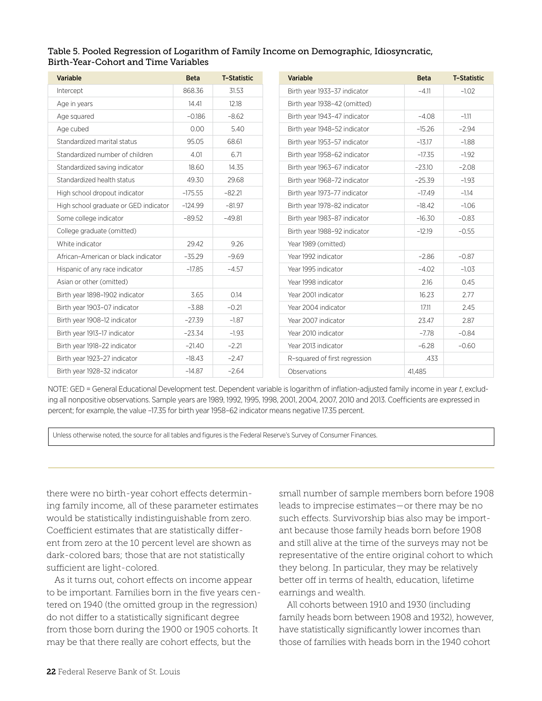#### Table 5. Pooled Regression of Logarithm of Family Income on Demographic, Idiosyncratic, Birth-Year-Cohort and Time Variables

| <b>Variable</b>                       | <b>Beta</b> | <b>T-Statistic</b> | Variable                      | <b>Beta</b> | <b>T-Statistic</b> |
|---------------------------------------|-------------|--------------------|-------------------------------|-------------|--------------------|
| Intercept                             | 868.36      | 31.53              | Birth year 1933-37 indicator  | $-4.11$     | $-1.02$            |
| Age in years                          | 14.41       | 12.18              | Birth year 1938-42 (omitted)  |             |                    |
| Age squared                           | $-0.186$    | $-8.62$            | Birth year 1943-47 indicator  | $-4.08$     | $-1.11$            |
| Age cubed                             | 0.00        | 5.40               | Birth year 1948-52 indicator  | $-15.26$    | $-2.94$            |
| Standardized marital status           | 95.05       | 68.61              | Birth year 1953-57 indicator  | $-13.17$    | $-1.88$            |
| Standardized number of children       | 4.01        | 6.71               | Birth year 1958-62 indicator  | $-17.35$    | $-1.92$            |
| Standardized saving indicator         | 18.60       | 14.35              | Birth year 1963-67 indicator  | $-23.10$    | $-2.08$            |
| Standardized health status            | 49.30       | 29.68              | Birth year 1968-72 indicator  | $-25.39$    | $-1.93$            |
| High school dropout indicator         | $-175.55$   | $-82.21$           | Birth year 1973-77 indicator  | $-17.49$    | $-1.14$            |
| High school graduate or GED indicator | $-124.99$   | $-81.97$           | Birth year 1978-82 indicator  | $-18.42$    | $-1.06$            |
| Some college indicator                | $-89.52$    | $-49.81$           | Birth year 1983-87 indicator  | $-16.30$    | $-0.83$            |
| College graduate (omitted)            |             |                    | Birth year 1988-92 indicator  | $-12.19$    | $-0.55$            |
| White indicator                       | 29.42       | 9.26               | Year 1989 (omitted)           |             |                    |
| African-American or black indicator   | $-35.29$    | $-9.69$            | Year 1992 indicator           | $-2.86$     | $-0.87$            |
| Hispanic of any race indicator        | $-17.85$    | $-4.57$            | Year 1995 indicator           | $-4.02$     | $-1.03$            |
| Asian or other (omitted)              |             |                    | Year 1998 indicator           | 2.16        | 0.45               |
| Birth year 1898-1902 indicator        | 3.65        | 0.14               | Year 2001 indicator           | 16.23       | 2.77               |
| Birth year 1903-07 indicator          | $-3.88$     | $-0.21$            | Year 2004 indicator           | 17.11       | 2.45               |
| Birth year 1908-12 indicator          | $-27.39$    | $-1.87$            | Year 2007 indicator           | 23.47       | 2.87               |
| Birth year 1913-17 indicator          | $-23.34$    | $-1.93$            | Year 2010 indicator           | $-7.78$     | $-0.84$            |
| Birth year 1918-22 indicator          | $-21.40$    | $-2.21$            | Year 2013 indicator           | $-6.28$     | $-0.60$            |
| Birth year 1923-27 indicator          | $-18.43$    | $-2.47$            | R-squared of first regression | .433        |                    |
| Birth year 1928-32 indicator          | $-14.87$    | $-2.64$            | Observations                  | 41,485      |                    |

NOTE: GED = General Educational Development test. Dependent variable is logarithm of inflation-adjusted family income in year *t*, excluding all nonpositive observations. Sample years are 1989, 1992, 1995, 1998, 2001, 2004, 2007, 2010 and 2013. Coefficients are expressed in percent; for example, the value –17.35 for birth year 1958–62 indicator means negative 17.35 percent.

Unless otherwise noted, the source for all tables and figures is the Federal Reserve's Survey of Consumer Finances.

there were no birth-year cohort effects determining family income, all of these parameter estimates would be statistically indistinguishable from zero. Coefficient estimates that are statistically different from zero at the 10 percent level are shown as dark-colored bars; those that are not statistically sufficient are light-colored.

As it turns out, cohort effects on income appear to be important. Families born in the five years centered on 1940 (the omitted group in the regression) do not differ to a statistically significant degree from those born during the 1900 or 1905 cohorts. It may be that there really are cohort effects, but the

small number of sample members born before 1908 leads to imprecise estimates—or there may be no such effects. Survivorship bias also may be important because those family heads born before 1908 and still alive at the time of the surveys may not be representative of the entire original cohort to which they belong. In particular, they may be relatively better off in terms of health, education, lifetime earnings and wealth.

All cohorts between 1910 and 1930 (including family heads born between 1908 and 1932), however, have statistically significantly lower incomes than those of families with heads born in the 1940 cohort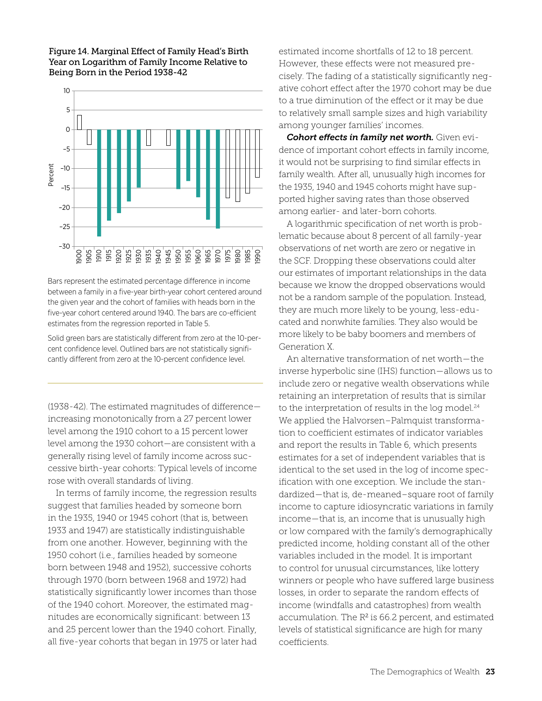#### Figure 14. Marginal Effect of Family Head's Birth Year on Logarithm of Family Income Relative to Being Born in the Period 1938-42



Bars represent the estimated percentage difference in income between a family in a five-year birth-year cohort centered around the given year and the cohort of families with heads born in the five-year cohort centered around 1940. The bars are co-efficient estimates from the regression reported in Table 5.

Solid green bars are statistically different from zero at the 10-percent confidence level. Outlined bars are not statistically significantly different from zero at the 10-percent confidence level.

(1938-42). The estimated magnitudes of difference increasing monotonically from a 27 percent lower level among the 1910 cohort to a 15 percent lower level among the 1930 cohort—are consistent with a generally rising level of family income across successive birth-year cohorts: Typical levels of income rose with overall standards of living.

In terms of family income, the regression results suggest that families headed by someone born in the 1935, 1940 or 1945 cohort (that is, between 1933 and 1947) are statistically indistinguishable from one another. However, beginning with the 1950 cohort (i.e., families headed by someone born between 1948 and 1952), successive cohorts through 1970 (born between 1968 and 1972) had statistically significantly lower incomes than those of the 1940 cohort. Moreover, the estimated magnitudes are economically significant: between 13 and 25 percent lower than the 1940 cohort. Finally, all five-year cohorts that began in 1975 or later had estimated income shortfalls of 12 to 18 percent. However, these effects were not measured precisely. The fading of a statistically significantly negative cohort effect after the 1970 cohort may be due to a true diminution of the effect or it may be due to relatively small sample sizes and high variability among younger families' incomes.

*Cohort effects in family net worth.* Given evidence of important cohort effects in family income, it would not be surprising to find similar effects in family wealth. After all, unusually high incomes for the 1935, 1940 and 1945 cohorts might have supported higher saving rates than those observed among earlier- and later-born cohorts.

A logarithmic specification of net worth is problematic because about 8 percent of all family-year observations of net worth are zero or negative in the SCF. Dropping these observations could alter our estimates of important relationships in the data because we know the dropped observations would not be a random sample of the population. Instead, they are much more likely to be young, less-educated and nonwhite families. They also would be more likely to be baby boomers and members of Generation X.

An alternative transformation of net worth—the inverse hyperbolic sine (IHS) function—allows us to include zero or negative wealth observations while retaining an interpretation of results that is similar to the interpretation of results in the log model.<sup>24</sup> We applied the Halvorsen–Palmquist transformation to coefficient estimates of indicator variables and report the results in Table 6, which presents estimates for a set of independent variables that is identical to the set used in the log of income specification with one exception. We include the standardized—that is, de-meaned–square root of family income to capture idiosyncratic variations in family income—that is, an income that is unusually high or low compared with the family's demographically predicted income, holding constant all of the other variables included in the model. It is important to control for unusual circumstances, like lottery winners or people who have suffered large business losses, in order to separate the random effects of income (windfalls and catastrophes) from wealth accumulation. The  $R^2$  is 66.2 percent, and estimated levels of statistical significance are high for many coefficients.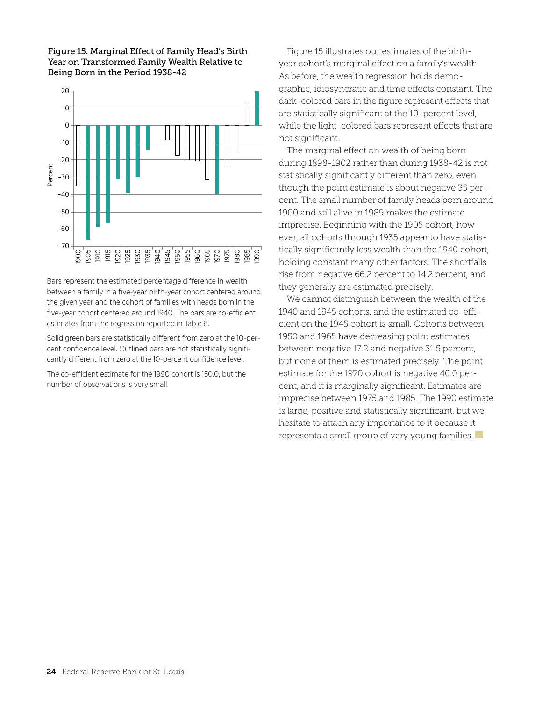



Bars represent the estimated percentage difference in wealth between a family in a five-year birth-year cohort centered around the given year and the cohort of families with heads born in the five-year cohort centered around 1940. The bars are co-efficient estimates from the regression reported in Table 6.

Solid green bars are statistically different from zero at the 10-percent confidence level. Outlined bars are not statistically significantly different from zero at the 10-percent confidence level.

The co-efficient estimate for the 1990 cohort is 150.0, but the number of observations is very small.

Figure 15 illustrates our estimates of the birthyear cohort's marginal effect on a family's wealth. As before, the wealth regression holds demographic, idiosyncratic and time effects constant. The dark-colored bars in the figure represent effects that are statistically significant at the 10-percent level, while the light-colored bars represent effects that are not significant.

The marginal effect on wealth of being born during 1898-1902 rather than during 1938-42 is not statistically significantly different than zero, even though the point estimate is about negative 35 percent. The small number of family heads born around 1900 and still alive in 1989 makes the estimate imprecise. Beginning with the 1905 cohort, however, all cohorts through 1935 appear to have statistically significantly less wealth than the 1940 cohort, holding constant many other factors. The shortfalls rise from negative 66.2 percent to 14.2 percent, and they generally are estimated precisely.

We cannot distinguish between the wealth of the 1940 and 1945 cohorts, and the estimated co-efficient on the 1945 cohort is small. Cohorts between 1950 and 1965 have decreasing point estimates between negative 17.2 and negative 31.5 percent, but none of them is estimated precisely. The point estimate for the 1970 cohort is negative 40.0 percent, and it is marginally significant. Estimates are imprecise between 1975 and 1985. The 1990 estimate is large, positive and statistically significant, but we hesitate to attach any importance to it because it represents a small group of very young families.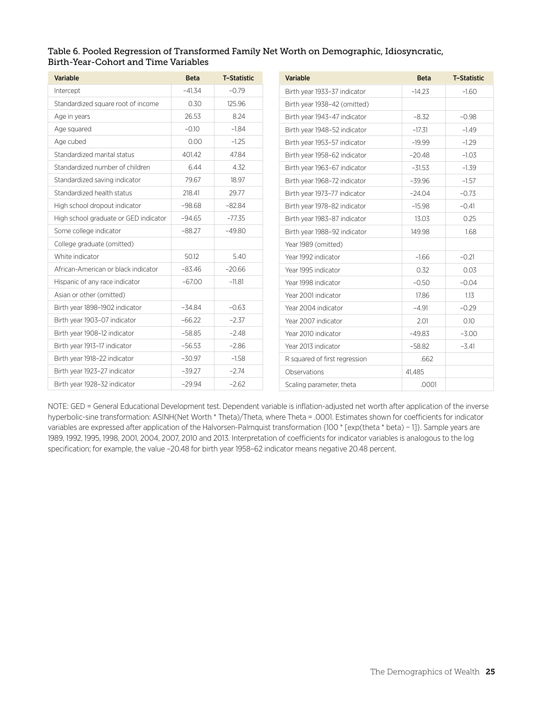#### Table 6. Pooled Regression of Transformed Family Net Worth on Demographic, Idiosyncratic, Birth-Year-Cohort and Time Variables

| <b>Variable</b>                       | <b>Beta</b> | <b>T-Statistic</b> | Variable                      | <b>Beta</b> | <b>T-Statistic</b> |
|---------------------------------------|-------------|--------------------|-------------------------------|-------------|--------------------|
| Intercept                             | $-41.34$    | $-0.79$            | Birth year 1933-37 indicator  | $-14.23$    | $-1.60$            |
| Standardized square root of income    | 0.30        | 125.96             | Birth year 1938-42 (omitted)  |             |                    |
| Age in years                          | 26.53       | 8.24               | Birth year 1943-47 indicator  | $-8.32$     | $-0.98$            |
| Age squared                           | $-0.10$     | $-1.84$            | Birth year 1948-52 indicator  | $-17.31$    | $-1.49$            |
| Age cubed                             | 0.00        | $-1.25$            | Birth year 1953-57 indicator  | $-19.99$    | $-1.29$            |
| Standardized marital status           | 401.42      | 47.84              | Birth year 1958-62 indicator  | $-20.48$    | $-1.03$            |
| Standardized number of children       | 6.44        | 4.32               | Birth year 1963-67 indicator  | $-31.53$    | $-1.39$            |
| Standardized saving indicator         | 79.67       | 18.97              | Birth year 1968-72 indicator  | $-39.96$    | $-1.57$            |
| Standardized health status            | 218.41      | 29.77              | Birth year 1973-77 indicator  | $-24.04$    | $-0.73$            |
| High school dropout indicator         | $-98.68$    | $-82.84$           | Birth year 1978-82 indicator  | $-15.98$    | $-0.41$            |
| High school graduate or GED indicator | $-94.65$    | $-77.35$           | Birth year 1983-87 indicator  | 13.03       | 0.25               |
| Some college indicator                | $-88.27$    | $-49.80$           | Birth year 1988-92 indicator  | 149.98      | 1.68               |
| College graduate (omitted)            |             |                    | Year 1989 (omitted)           |             |                    |
| White indicator                       | 50.12       | 5.40               | Year 1992 indicator           | $-1.66$     | $-0.21$            |
| African-American or black indicator   | $-83.46$    | $-20.66$           | Year 1995 indicator           | 0.32        | 0.03               |
| Hispanic of any race indicator        | $-67.00$    | $-11.81$           | Year 1998 indicator           | $-0.50$     | $-0.04$            |
| Asian or other (omitted)              |             |                    | Year 2001 indicator           | 17.86       | 1.13               |
| Birth year 1898-1902 indicator        | $-34.84$    | $-0.63$            | Year 2004 indicator           | $-4.91$     | $-0.29$            |
| Birth year 1903-07 indicator          | $-66.22$    | $-2.37$            | Year 2007 indicator           | 2.01        | 0.10               |
| Birth year 1908-12 indicator          | $-58.85$    | $-2.48$            | Year 2010 indicator           | $-49.83$    | $-3.00$            |
| Birth year 1913-17 indicator          | $-56.53$    | $-2.86$            | Year 2013 indicator           | $-58.82$    | $-3.41$            |
| Birth year 1918-22 indicator          | $-30.97$    | $-1.58$            | R squared of first regression | .662        |                    |
| Birth year 1923-27 indicator          | $-39.27$    | $-2.74$            | Observations                  | 41.485      |                    |
| Birth year 1928-32 indicator          | $-29.94$    | $-2.62$            | Scaling parameter, theta      | .0001       |                    |

NOTE: GED = General Educational Development test. Dependent variable is inflation-adjusted net worth after application of the inverse hyperbolic-sine transformation: ASINH(Net Worth \* Theta)/Theta, where Theta = .0001. Estimates shown for coefficients for indicator variables are expressed after application of the Halvorsen-Palmquist transformation {100 \* [exp(theta \* beta) − 1]}. Sample years are 1989, 1992, 1995, 1998, 2001, 2004, 2007, 2010 and 2013. Interpretation of coefficients for indicator variables is analogous to the log specification; for example, the value –20.48 for birth year 1958–62 indicator means negative 20.48 percent.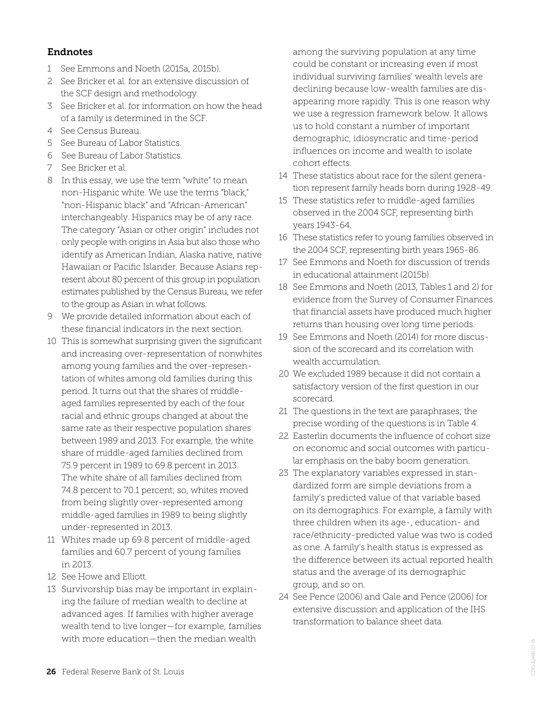#### Endnotes

- 1 See Emmons and Noeth (2015a, 2015b).
- 2 See Bricker et al. for an extensive discussion of the SCF design and methodology.
- 3 See Bricker et al. for information on how the head of a family is determined in the SCF.
- 4 See Census Bureau.
- 5 See Bureau of Labor Statistics.
- 6 See Bureau of Labor Statistics.
- 7 See Bricker et al.
- 8 In this essay, we use the term "white" to mean non-Hispanic white. We use the terms "black," "non-Hispanic black" and "African-American" interchangeably. Hispanics may be of any race. The category "Asian or other origin" includes not only people with origins in Asia but also those who identify as American Indian, Alaska native, native Hawaiian or Pacific Islander. Because Asians represent about 80 percent of this group in population estimates published by the Census Bureau, we refer to the group as Asian in what follows.
- 9 We provide detailed information about each of these financial indicators in the next section.
- 10 This is somewhat surprising given the significant and increasing over-representation of nonwhites among young families and the over-representation of whites among old families during this period. It turns out that the shares of middleaged families represented by each of the four racial and ethnic groups changed at about the same rate as their respective population shares between 1989 and 2013. For example, the white share of middle-aged families declined from 75.9 percent in 1989 to 69.8 percent in 2013. The white share of all families declined from 74.8 percent to 70.1 percent; so, whites moved from being slightly over-represented among middle-aged families in 1989 to being slightly under-represented in 2013.
- 11 Whites made up 69.8 percent of middle-aged families and 60.7 percent of young families in 2013.
- 12 See Howe and Elliott.
- 13 Survivorship bias may be important in explaining the failure of median wealth to decline at advanced ages. If families with higher average wealth tend to live longer—for example, families with more education—then the median wealth

among the surviving population at any time could be constant or increasing even if most individual surviving families' wealth levels are declining because low-wealth families are disappearing more rapidly. This is one reason why we use a regression framework below. It allows us to hold constant a number of important demographic, idiosyncratic and time-period influences on income and wealth to isolate cohort effects.

- 14 These statistics about race for the silent generation represent family heads born during 1928-49.
- 15 These statistics refer to middle-aged families observed in the 2004 SCF, representing birth years 1943-64.
- 16 These statistics refer to young families observed in the 2004 SCF, representing birth years 1965-86.
- 17 See Emmons and Noeth for discussion of trends in educational attainment (2015b).
- 18 See Emmons and Noeth (2013, Tables 1 and 2) for evidence from the Survey of Consumer Finances that financial assets have produced much higher returns than housing over long time periods.
- 19 See Emmons and Noeth (2014) for more discussion of the scorecard and its correlation with wealth accumulation.
- 20 We excluded 1989 because it did not contain a satisfactory version of the first question in our scorecard.
- 21 The questions in the text are paraphrases; the precise wording of the questions is in Table 4.
- 22 Easterlin documents the influence of cohort size on economic and social outcomes with particular emphasis on the baby boom generation.
- 23 The explanatory variables expressed in standardized form are simple deviations from a family's predicted value of that variable based on its demographics. For example, a family with three children when its age-, education- and race/ethnicity-predicted value was two is coded as one. A family's health status is expressed as the difference between its actual reported health status and the average of its demographic group, and so on.
- 24 See Pence (2006) and Gale and Pence (2006) for extensive discussion and application of the IHS transformation to balance sheet data.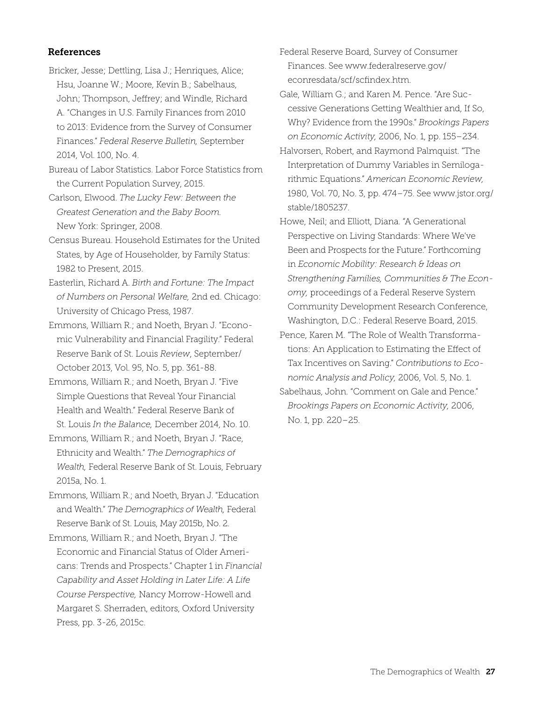#### References

- Bricker, Jesse; Dettling, Lisa J.; Henriques, Alice; Hsu, Joanne W.; Moore, Kevin B.; Sabelhaus, John; Thompson, Jeffrey; and Windle, Richard A. "Changes in U.S. Family Finances from 2010 to 2013: Evidence from the Survey of Consumer Finances." *Federal Reserve Bulletin,* September 2014, Vol. 100, No. 4.
- Bureau of Labor Statistics. Labor Force Statistics from the Current Population Survey, 2015.
- Carlson, Elwood. *The Lucky Few: Between the Greatest Generation and the Baby Boom.* New York: Springer, 2008.
- Census Bureau. Household Estimates for the United States, by Age of Householder, by Family Status: 1982 to Present, 2015.
- Easterlin, Richard A. *Birth and Fortune: The Impact of Numbers on Personal Welfare,* 2nd ed. Chicago: University of Chicago Press, 1987.
- Emmons, William R.; and Noeth, Bryan J. "Economic Vulnerability and Financial Fragility." Federal Reserve Bank of St. Louis *Review*, September/ October 2013, Vol. 95, No. 5, pp. 361-88.
- Emmons, William R.; and Noeth, Bryan J. "Five Simple Questions that Reveal Your Financial Health and Wealth." Federal Reserve Bank of St. Louis *In the Balance,* December 2014, No. 10.
- Emmons, William R.; and Noeth, Bryan J. "Race, Ethnicity and Wealth." *The Demographics of Wealth,* Federal Reserve Bank of St. Louis, February 2015a, No. 1.
- Emmons, William R.; and Noeth, Bryan J. "Education and Wealth." *The Demographics of Wealth,* Federal Reserve Bank of St. Louis, May 2015b, No. 2.
- Emmons, William R.; and Noeth, Bryan J. "The Economic and Financial Status of Older Americans: Trends and Prospects." Chapter 1 in *Financial Capability and Asset Holding in Later Life: A Life Course Perspective,* Nancy Morrow-Howell and Margaret S. Sherraden, editors, Oxford University Press, pp. 3-26, 2015c.
- Federal Reserve Board, Survey of Consumer Finances. See www.federalreserve.gov/ econresdata/scf/scfindex.htm.
- Gale, William G.; and Karen M. Pence. "Are Successive Generations Getting Wealthier and, If So, Why? Evidence from the 1990s." *Brookings Papers on Economic Activity,* 2006, No. 1, pp. 155–234.
- Halvorsen, Robert, and Raymond Palmquist. "The Interpretation of Dummy Variables in Semilogarithmic Equations." *American Economic Review,* 1980, Vol. 70, No. 3, pp. 474–75. See www.jstor.org/ stable/1805237.
- Howe, Neil; and Elliott, Diana. "A Generational Perspective on Living Standards: Where We've Been and Prospects for the Future." Forthcoming in *Economic Mobility: Research & Ideas on Strengthening Families, Communities & The Economy,* proceedings of a Federal Reserve System Community Development Research Conference, Washington, D.C.: Federal Reserve Board, 2015.
- Pence, Karen M. "The Role of Wealth Transformations: An Application to Estimating the Effect of Tax Incentives on Saving." *Contributions to Economic Analysis and Policy,* 2006, Vol. 5, No. 1.
- Sabelhaus, John. "Comment on Gale and Pence." *Brookings Papers on Economic Activity,* 2006, No. 1, pp. 220–25.